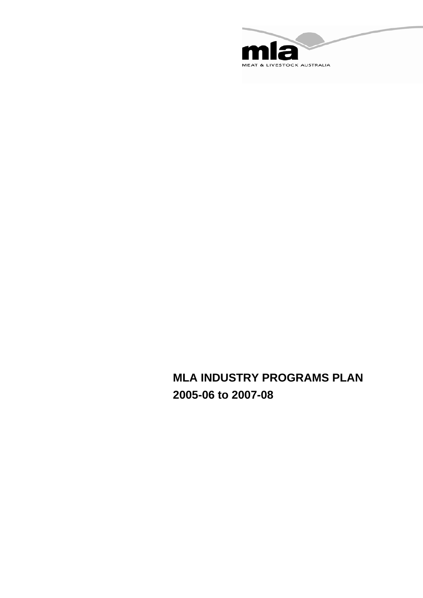

# **MLA INDUSTRY PROGRAMS PLAN 2005-06 to 2007-08**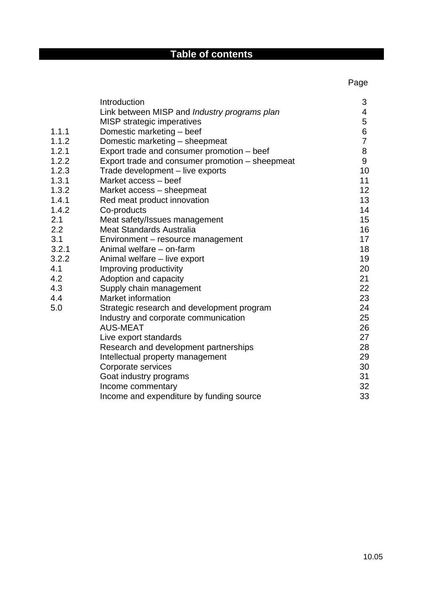# **Table of contents**

and the contract of the contract of the contract of the contract of the contract of the contract of the contract of the contract of the contract of the contract of the contract of the contract of the contract of the contra

|       | Introduction                                    | 3              |
|-------|-------------------------------------------------|----------------|
|       | Link between MISP and Industry programs plan    | 4              |
|       | MISP strategic imperatives                      | 5              |
| 1.1.1 | Domestic marketing - beef                       | 6              |
| 1.1.2 | Domestic marketing - sheepmeat                  | $\overline{7}$ |
| 1.2.1 | Export trade and consumer promotion - beef      | 8              |
| 1.2.2 | Export trade and consumer promotion - sheepmeat | 9              |
| 1.2.3 | Trade development - live exports                | 10             |
| 1.3.1 | Market access - beef                            | 11             |
| 1.3.2 | Market access – sheepmeat                       | 12             |
| 1.4.1 | Red meat product innovation                     | 13             |
| 1.4.2 | Co-products                                     | 14             |
| 2.1   | Meat safety/Issues management                   | 15             |
| 2.2   | <b>Meat Standards Australia</b>                 | 16             |
| 3.1   | Environment - resource management               | 17             |
| 3.2.1 | Animal welfare – on-farm                        | 18             |
| 3.2.2 | Animal welfare - live export                    | 19             |
| 4.1   | Improving productivity                          | 20             |
| 4.2   | Adoption and capacity                           | 21             |
| 4.3   | Supply chain management                         | 22             |
| 4.4   | <b>Market information</b>                       | 23             |
| 5.0   | Strategic research and development program      | 24             |
|       | Industry and corporate communication            | 25             |
|       | <b>AUS-MEAT</b>                                 | 26             |
|       | Live export standards                           | 27             |
|       | Research and development partnerships           | 28             |
|       | Intellectual property management                | 29             |
|       | Corporate services                              | 30             |
|       | Goat industry programs                          | 31             |
|       | Income commentary                               | 32             |
|       | Income and expenditure by funding source        | 33             |
|       |                                                 |                |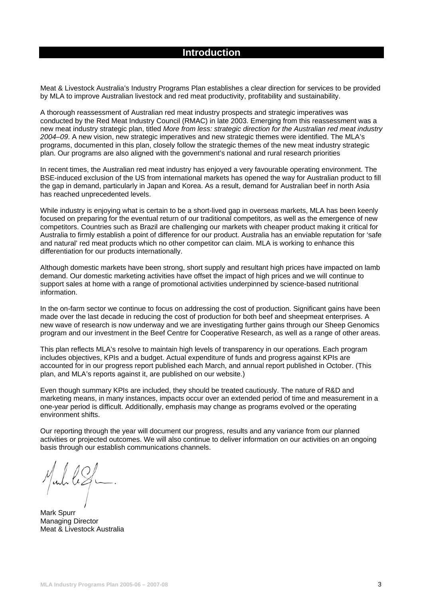# **Introduction**

Meat & Livestock Australia's Industry Programs Plan establishes a clear direction for services to be provided by MLA to improve Australian livestock and red meat productivity, profitability and sustainability.

A thorough reassessment of Australian red meat industry prospects and strategic imperatives was conducted by the Red Meat Industry Council (RMAC) in late 2003. Emerging from this reassessment was a new meat industry strategic plan, titled *More from less: strategic direction for the Australian red meat industry 2004–09*. A new vision, new strategic imperatives and new strategic themes were identified. The MLA's programs, documented in this plan, closely follow the strategic themes of the new meat industry strategic plan. Our programs are also aligned with the government's national and rural research priorities

In recent times, the Australian red meat industry has enjoyed a very favourable operating environment. The BSE-induced exclusion of the US from international markets has opened the way for Australian product to fill the gap in demand, particularly in Japan and Korea. As a result, demand for Australian beef in north Asia has reached unprecedented levels.

While industry is enjoying what is certain to be a short-lived gap in overseas markets, MLA has been keenly focused on preparing for the eventual return of our traditional competitors, as well as the emergence of new competitors. Countries such as Brazil are challenging our markets with cheaper product making it critical for Australia to firmly establish a point of difference for our product. Australia has an enviable reputation for 'safe and natural' red meat products which no other competitor can claim. MLA is working to enhance this differentiation for our products internationally.

Although domestic markets have been strong, short supply and resultant high prices have impacted on lamb demand. Our domestic marketing activities have offset the impact of high prices and we will continue to support sales at home with a range of promotional activities underpinned by science-based nutritional information.

In the on-farm sector we continue to focus on addressing the cost of production. Significant gains have been made over the last decade in reducing the cost of production for both beef and sheepmeat enterprises. A new wave of research is now underway and we are investigating further gains through our Sheep Genomics program and our investment in the Beef Centre for Cooperative Research, as well as a range of other areas.

This plan reflects MLA's resolve to maintain high levels of transparency in our operations. Each program includes objectives, KPIs and a budget. Actual expenditure of funds and progress against KPIs are accounted for in our progress report published each March, and annual report published in October. (This plan, and MLA's reports against it, are published on our website.)

Even though summary KPIs are included, they should be treated cautiously. The nature of R&D and marketing means, in many instances, impacts occur over an extended period of time and measurement in a one-year period is difficult. Additionally, emphasis may change as programs evolved or the operating environment shifts.

Our reporting through the year will document our progress, results and any variance from our planned activities or projected outcomes. We will also continue to deliver information on our activities on an ongoing basis through our establish communications channels.

Ind le ZL.

Mark Spurr Managing Director Meat & Livestock Australia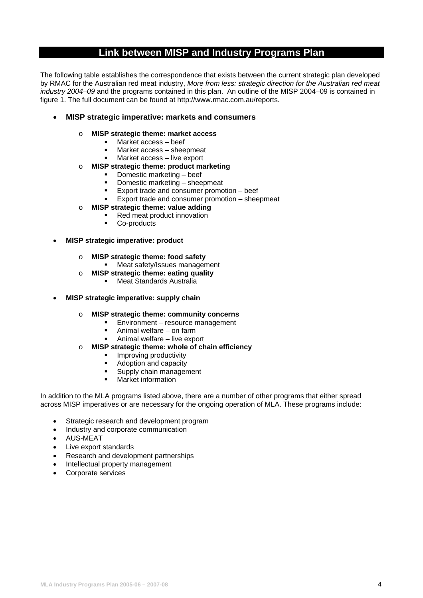# **Link between MISP and Industry Programs Plan**

The following table establishes the correspondence that exists between the current strategic plan developed by RMAC for the Australian red meat industry, *More from less: strategic direction for the Australian red meat industry 2004–09* and the programs contained in this plan. An outline of the MISP 2004–09 is contained in figure 1. The full document can be found at http://www.rmac.com.au/reports.

# • **MISP strategic imperative: markets and consumers**

# o **MISP strategic theme: market access**

- Market access beef
- Market access sheepmeat
- Market access live export
- o **MISP strategic theme: product marketing** 
	- Domestic marketing beef
	- **Domestic marketing sheepmeat**
	- Export trade and consumer promotion beef<br>Export trade and consumer promotion
	- Export trade and consumer promotion sheepmeat
- o **MISP strategic theme: value adding** 
	- Red meat product innovation
	- Co-products
- **MISP strategic imperative: product** 
	- o **MISP strategic theme: food safety** 
		- **Neat safety/Issues management**
	- o **MISP strategic theme: eating quality** 
		- Meat Standards Australia
- **MISP strategic imperative: supply chain** 
	- o **MISP strategic theme: community concerns** 
		- Environment resource management
		- Animal welfare on farm
		- Animal welfare live export
	- o **MISP strategic theme: whole of chain efficiency** 
		- **Improving productivity**
		- Adoption and capacity
		- **Supply chain management**
		- **Narket information**

In addition to the MLA programs listed above, there are a number of other programs that either spread across MISP imperatives or are necessary for the ongoing operation of MLA. These programs include:

- Strategic research and development program
- Industry and corporate communication
- AUS-MEAT
- Live export standards
- Research and development partnerships
- Intellectual property management
- Corporate services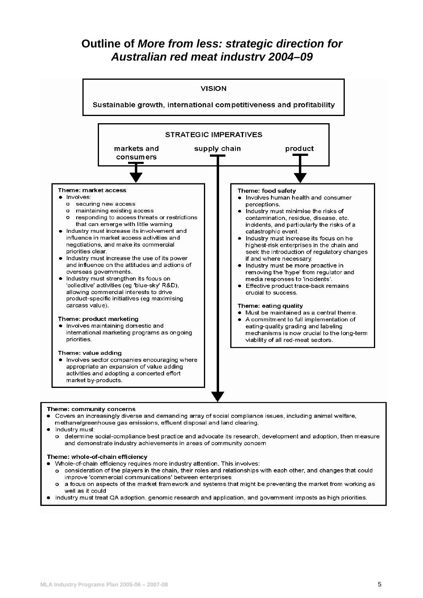# **Outline of** *More from less: strategic direction for Australian red meat industry 2004–09*



#### Theme: community concerns

• Covers an increasingly diverse and demanding array of social compliance issues, including animal welfare, methane/greenhouse gas emissions, effluent disposal and land clearing.

Industry must:

o determine social-compliance best practice and advocate its research, development and adoption, then measure and demonstrate industry achievements in areas of community concem

#### Theme: whole-of-chain efficiency

- Whole-of-chain efficiency requires more industry attention. This involves:
	- consideration of the players in the chain, their roles and relationships with each other, and changes that could  $\circ$ improve 'commercial communications' between enterprises
- $\circ$ a focus on aspects of the market framework and systems that might be preventing the market from working as well as if could
- Industry must treat QA adoption, genomic research and application, and government imposts as high priorities.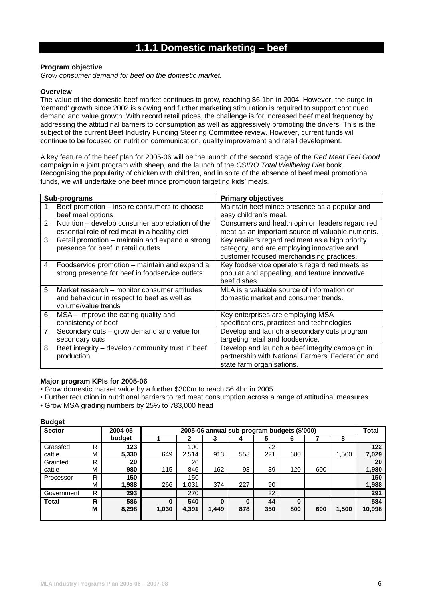# **1.1.1 Domestic marketing – beef**

### **Program objective**

*Grow consumer demand for beef on the domestic market.* 

#### **Overview**

The value of the domestic beef market continues to grow, reaching \$6.1bn in 2004. However, the surge in 'demand' growth since 2002 is slowing and further marketing stimulation is required to support continued demand and value growth. With record retail prices, the challenge is for increased beef meal frequency by addressing the attitudinal barriers to consumption as well as aggressively promoting the drivers. This is the subject of the current Beef Industry Funding Steering Committee review. However, current funds will continue to be focused on nutrition communication, quality improvement and retail development.

A key feature of the beef plan for 2005-06 will be the launch of the second stage of the *Red Meat.Feel Good*  campaign in a joint program with sheep, and the launch of the *CSIRO Total Wellbeing Diet* book. Recognising the popularity of chicken with children, and in spite of the absence of beef meal promotional funds, we will undertake one beef mince promotion targeting kids' meals.

|                | Sub-programs                                                                                                       | <b>Primary objectives</b>                                                                                                                   |
|----------------|--------------------------------------------------------------------------------------------------------------------|---------------------------------------------------------------------------------------------------------------------------------------------|
| 1.             | Beef promotion – inspire consumers to choose<br>beef meal options                                                  | Maintain beef mince presence as a popular and<br>easy children's meal.                                                                      |
| 2.             | Nutrition – develop consumer appreciation of the<br>essential role of red meat in a healthy diet                   | Consumers and health opinion leaders regard red<br>meat as an important source of valuable nutrients.                                       |
| 3.             | Retail promotion – maintain and expand a strong<br>presence for beef in retail outlets                             | Key retailers regard red meat as a high priority<br>category, and are employing innovative and<br>customer focused merchandising practices. |
| 4.             | Foodservice promotion – maintain and expand a<br>strong presence for beef in foodservice outlets                   | Key foodservice operators regard red meats as<br>popular and appealing, and feature innovative<br>beef dishes.                              |
| 5 <sub>1</sub> | Market research – monitor consumer attitudes<br>and behaviour in respect to beef as well as<br>volume/value trends | MLA is a valuable source of information on<br>domestic market and consumer trends.                                                          |
| 6.             | MSA – improve the eating quality and<br>consistency of beef                                                        | Key enterprises are employing MSA<br>specifications, practices and technologies                                                             |
| 7.             | Secondary cuts - grow demand and value for<br>secondary cuts                                                       | Develop and launch a secondary cuts program<br>targeting retail and foodservice.                                                            |
| 8.             | Beef integrity - develop community trust in beef<br>production                                                     | Develop and launch a beef integrity campaign in<br>partnership with National Farmers' Federation and<br>state farm organisations.           |

### **Major program KPIs for 2005-06**

- Grow domestic market value by a further \$300m to reach \$6.4bn in 2005
- Further reduction in nutritional barriers to red meat consumption across a range of attitudinal measures
- Grow MSA grading numbers by 25% to 783,000 head

| <b>Sector</b> |    | 2004-05 |          |       |          |          | 2005-06 annual sub-program budgets (\$'000) |     |     |       | Total  |
|---------------|----|---------|----------|-------|----------|----------|---------------------------------------------|-----|-----|-------|--------|
|               |    | budget  |          | 2     | 3        | 4        | 5                                           | 6   |     | 8     |        |
| Grassfed      | R  | 123     |          | 100   |          |          | 22                                          |     |     |       | 122    |
| cattle        | М  | 5,330   | 649      | 2,514 | 913      | 553      | 221                                         | 680 |     | .500  | 7,029  |
| Grainfed      | R  | 20      |          | 20    |          |          |                                             |     |     |       | 20     |
| cattle        | М  | 980     | 115      | 846   | 162      | 98       | 39                                          | 120 | 600 |       | 1,980  |
| Processor     | R  | 150     |          | 150   |          |          |                                             |     |     |       | 150    |
|               | М  | 1,988   | 266      | 1,031 | 374      | 227      | 90                                          |     |     |       | 1,988  |
| Government    | R. | 293     |          | 270   |          |          | 22                                          |     |     |       | 292    |
| <b>Total</b>  | R. | 586     | $\bf{0}$ | 540   | $\bf{0}$ | $\bf{0}$ | 44                                          | 0   |     |       | 584    |
|               | М  | 8,298   | 1,030    | 4,391 | 1,449    | 878      | 350                                         | 800 | 600 | 1,500 | 10,998 |
|               |    |         |          |       |          |          |                                             |     |     |       |        |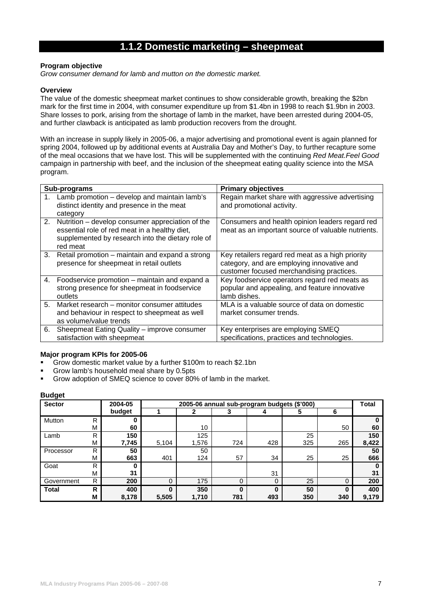# **1.1.2 Domestic marketing – sheepmeat**

# **Program objective**

*Grow consumer demand for lamb and mutton on the domestic market.* 

#### **Overview**

The value of the domestic sheepmeat market continues to show considerable growth, breaking the \$2bn mark for the first time in 2004, with consumer expenditure up from \$1.4bn in 1998 to reach \$1.9bn in 2003. Share losses to pork, arising from the shortage of lamb in the market, have been arrested during 2004-05, and further clawback is anticipated as lamb production recovers from the drought.

With an increase in supply likely in 2005-06, a major advertising and promotional event is again planned for spring 2004, followed up by additional events at Australia Day and Mother's Day, to further recapture some of the meal occasions that we have lost. This will be supplemented with the continuing *Red Meat.Feel Good* campaign in partnership with beef, and the inclusion of the sheepmeat eating quality science into the MSA program.

|    | Sub-programs                                                                                                                                                          | <b>Primary objectives</b>                                                                                                                   |
|----|-----------------------------------------------------------------------------------------------------------------------------------------------------------------------|---------------------------------------------------------------------------------------------------------------------------------------------|
|    | Lamb promotion - develop and maintain lamb's<br>distinct identity and presence in the meat<br>category                                                                | Regain market share with aggressive advertising<br>and promotional activity.                                                                |
|    | 2. Nutrition – develop consumer appreciation of the<br>essential role of red meat in a healthy diet,<br>supplemented by research into the dietary role of<br>red meat | Consumers and health opinion leaders regard red<br>meat as an important source of valuable nutrients.                                       |
| 3. | Retail promotion – maintain and expand a strong<br>presence for sheepmeat in retail outlets                                                                           | Key retailers regard red meat as a high priority<br>category, and are employing innovative and<br>customer focused merchandising practices. |
| 4. | Foodservice promotion – maintain and expand a<br>strong presence for sheepmeat in foodservice<br>outlets                                                              | Key foodservice operators regard red meats as<br>popular and appealing, and feature innovative<br>lamb dishes.                              |
| 5. | Market research – monitor consumer attitudes<br>and behaviour in respect to sheepmeat as well<br>as volume/value trends                                               | MLA is a valuable source of data on domestic<br>market consumer trends.                                                                     |
| 6. | Sheepmeat Eating Quality - improve consumer<br>satisfaction with sheepmeat                                                                                            | Key enterprises are employing SMEQ<br>specifications, practices and technologies.                                                           |

### **Major program KPIs for 2005-06**

- Grow domestic market value by a further \$100m to reach \$2.1bn
- Grow lamb's household meal share by 0.5pts
- Grow adoption of SMEQ science to cover 80% of lamb in the market.

| <b>Sector</b> |   | 2004-05 |          | 2005-06 annual sub-program budgets (\$'000) |          |     |     |          |       |  |
|---------------|---|---------|----------|---------------------------------------------|----------|-----|-----|----------|-------|--|
|               |   | budget  |          |                                             |          |     | 5   | 6        |       |  |
| Mutton        | R |         |          |                                             |          |     |     |          |       |  |
|               | М | 60      |          | 10                                          |          |     |     | 50       | 60    |  |
| Lamb          | R | 150     |          | 125                                         |          |     | 25  |          | 150   |  |
|               | M | 7,745   | 5,104    | 1,576                                       | 724      | 428 | 325 | 265      | 8,422 |  |
| Processor     | R | 50      |          | 50                                          |          |     |     |          | 50    |  |
|               | M | 663     | 401      | 124                                         | 57       | 34  | 25  | 25       | 666   |  |
| Goat          | R | 0       |          |                                             |          |     |     |          |       |  |
|               | M | 31      |          |                                             |          | 31  |     |          | 31    |  |
| Government    | R | 200     | $\Omega$ | 175                                         | $\Omega$ | 0   | 25  | $\Omega$ | 200   |  |
| <b>Total</b>  | R | 400     | 0        | 350                                         | $\bf{0}$ | ŋ   | 50  | 0        | 400   |  |
|               | Μ | 8,178   | 5,505    | 1,710                                       | 781      | 493 | 350 | 340      | 9,179 |  |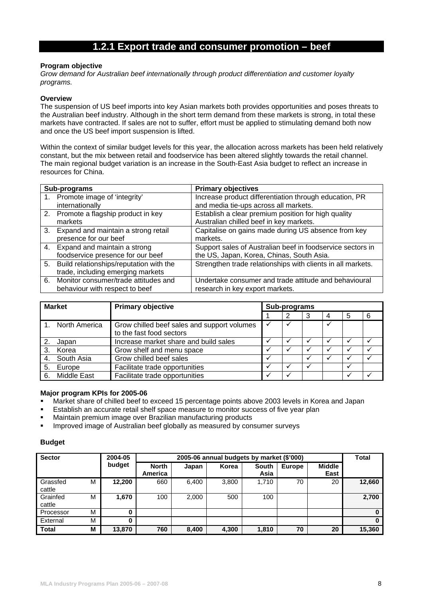# **1.2.1 Export trade and consumer promotion – beef**

### **Program objective**

*Grow demand for Australian beef internationally through product differentiation and customer loyalty programs.* 

#### **Overview**

The suspension of US beef imports into key Asian markets both provides opportunities and poses threats to the Australian beef industry. Although in the short term demand from these markets is strong, in total these markets have contracted. If sales are not to suffer, effort must be applied to stimulating demand both now and once the US beef import suspension is lifted.

Within the context of similar budget levels for this year, the allocation across markets has been held relatively constant, but the mix between retail and foodservice has been altered slightly towards the retail channel. The main regional budget variation is an increase in the South-East Asia budget to reflect an increase in resources for China.

|    | Sub-programs                                                                    | <b>Primary objectives</b>                                                                               |
|----|---------------------------------------------------------------------------------|---------------------------------------------------------------------------------------------------------|
|    | 1. Promote image of 'integrity'<br>internationally                              | Increase product differentiation through education, PR<br>and media tie-ups across all markets.         |
|    | 2. Promote a flagship product in key<br>markets                                 | Establish a clear premium position for high quality<br>Australian chilled beef in key markets.          |
| 3. | Expand and maintain a strong retail<br>presence for our beef                    | Capitalise on gains made during US absence from key<br>markets.                                         |
|    | 4. Expand and maintain a strong<br>foodservice presence for our beef            | Support sales of Australian beef in foodservice sectors in<br>the US, Japan, Korea, Chinas, South Asia. |
|    | 5. Build relationships/reputation with the<br>trade, including emerging markets | Strengthen trade relationships with clients in all markets.                                             |
|    | 6. Monitor consumer/trade attitudes and<br>behaviour with respect to beef       | Undertake consumer and trade attitude and behavioural<br>research in key export markets.                |

| <b>Market</b> |                    | <b>Primary objective</b>                                                | Sub-programs |  |  |  |  |   |  |  |
|---------------|--------------------|-------------------------------------------------------------------------|--------------|--|--|--|--|---|--|--|
|               |                    |                                                                         |              |  |  |  |  | 6 |  |  |
|               | North America      | Grow chilled beef sales and support volumes<br>to the fast food sectors | $\checkmark$ |  |  |  |  |   |  |  |
|               | Japan              | Increase market share and build sales                                   |              |  |  |  |  |   |  |  |
|               | Korea              | Grow shelf and menu space                                               |              |  |  |  |  |   |  |  |
|               | South Asia         | Grow chilled beef sales                                                 |              |  |  |  |  |   |  |  |
| 5.            | Europe             | Facilitate trade opportunities                                          |              |  |  |  |  |   |  |  |
| 6.            | <b>Middle East</b> | Facilitate trade opportunities                                          |              |  |  |  |  |   |  |  |

### **Major program KPIs for 2005-06**

- Market share of chilled beef to exceed 15 percentage points above 2003 levels in Korea and Japan
- Establish an accurate retail shelf space measure to monitor success of five year plan
- Maintain premium image over Brazilian manufacturing products
- Improved image of Australian beef globally as measured by consumer surveys

| <b>Sector</b>      |   | 2004-05 |                         | Total |       |                      |               |                       |        |
|--------------------|---|---------|-------------------------|-------|-------|----------------------|---------------|-----------------------|--------|
|                    |   | budget  | <b>North</b><br>America | Japan | Korea | <b>South</b><br>Asia | <b>Europe</b> | <b>Middle</b><br>East |        |
| Grassfed<br>cattle | M | 12,200  | 660                     | 6,400 | 3,800 | 1,710                | 70            | 20                    | 12,660 |
| Grainfed<br>cattle | M | 1,670   | 100                     | 2,000 | 500   | 100                  |               |                       | 2,700  |
| Processor          | M | 0       |                         |       |       |                      |               |                       |        |
| External           | М | 0       |                         |       |       |                      |               |                       | 0      |
| <b>Total</b>       | М | 13,870  | 760                     | 8,400 | 4,300 | 1,810                | 70            | 20                    | 15,360 |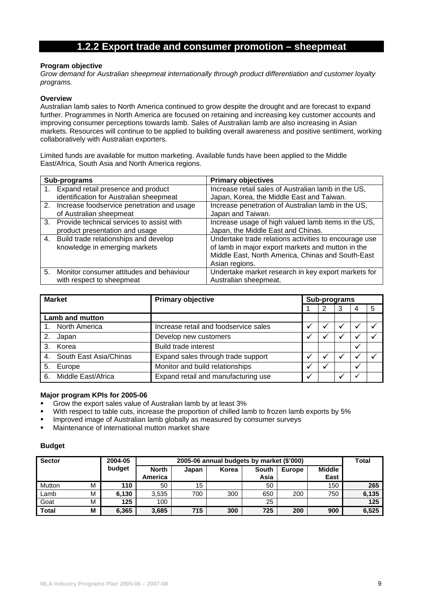# **1.2.2 Export trade and consumer promotion – sheepmeat**

### **Program objective**

*Grow demand for Australian sheepmeat internationally through product differentiation and customer loyalty programs.* 

### **Overview**

Australian lamb sales to North America continued to grow despite the drought and are forecast to expand further. Programmes in North America are focused on retaining and increasing key customer accounts and improving consumer perceptions towards lamb. Sales of Australian lamb are also increasing in Asian markets. Resources will continue to be applied to building overall awareness and positive sentiment, working collaboratively with Australian exporters.

Limited funds are available for mutton marketing. Available funds have been applied to the Middle East/Africa, South Asia and North America regions.

|    | Sub-programs                                  | <b>Primary objectives</b>                             |
|----|-----------------------------------------------|-------------------------------------------------------|
| 1. | Expand retail presence and product            | Increase retail sales of Australian lamb in the US,   |
|    | identification for Australian sheepmeat       | Japan, Korea, the Middle East and Taiwan.             |
|    | 2. Increase foodservice penetration and usage | Increase penetration of Australian lamb in the US,    |
|    | of Australian sheepmeat                       | Japan and Taiwan.                                     |
|    | 3. Provide technical services to assist with  | Increase usage of high valued lamb items in the US,   |
|    | product presentation and usage                | Japan, the Middle East and Chinas.                    |
|    | 4. Build trade relationships and develop      | Undertake trade relations activities to encourage use |
|    | knowledge in emerging markets                 | of lamb in major export markets and mutton in the     |
|    |                                               | Middle East, North America, Chinas and South-East     |
|    |                                               | Asian regions.                                        |
|    | 5. Monitor consumer attitudes and behaviour   | Undertake market research in key export markets for   |
|    | with respect to sheepmeat                     | Australian sheepmeat.                                 |

| <b>Market</b>             | <b>Primary objective</b>              | Sub-programs |              |  |  |   |  |
|---------------------------|---------------------------------------|--------------|--------------|--|--|---|--|
|                           |                                       |              |              |  |  | 5 |  |
| <b>Lamb and mutton</b>    |                                       |              |              |  |  |   |  |
| North America             | Increase retail and foodservice sales |              |              |  |  |   |  |
| 2.<br>Japan               | Develop new customers                 |              |              |  |  |   |  |
| Korea<br>3.               | <b>Build trade interest</b>           |              |              |  |  |   |  |
| 4. South East Asia/Chinas | Expand sales through trade support    |              |              |  |  |   |  |
| 5.<br>Europe              | Monitor and build relationships       |              | $\checkmark$ |  |  |   |  |
| 6. Middle East/Africa     | Expand retail and manufacturing use   |              |              |  |  |   |  |

### **Major program KPIs for 2005-06**

- Grow the export sales value of Australian lamb by at least 3%
- With respect to table cuts, increase the proportion of chilled lamb to frozen lamb exports by 5%
- Improved image of Australian lamb globally as measured by consumer surveys
- Maintenance of international mutton market share

| <b>Sector</b> |   | 2004-05 | 2005-06 annual budgets by market (\$'000) |       |       |                      |               |                       |       |  |
|---------------|---|---------|-------------------------------------------|-------|-------|----------------------|---------------|-----------------------|-------|--|
|               |   | budget  | <b>North</b><br>America                   | Japan | Korea | <b>South</b><br>Asia | <b>Europe</b> | <b>Middle</b><br>East |       |  |
| Mutton        | М | 110     | 50                                        | 15    |       | 50                   |               | 150                   | 265   |  |
| Lamb          | М | 6,130   | 3.535                                     | 700   | 300   | 650                  | 200           | 750                   | 6,135 |  |
| Goat          | М | 125     | 100                                       |       |       | 25                   |               |                       | 125   |  |
| <b>Total</b>  | М | 6,365   | 3,685                                     | 715   | 300   | 725                  | 200           | 900                   | 6,525 |  |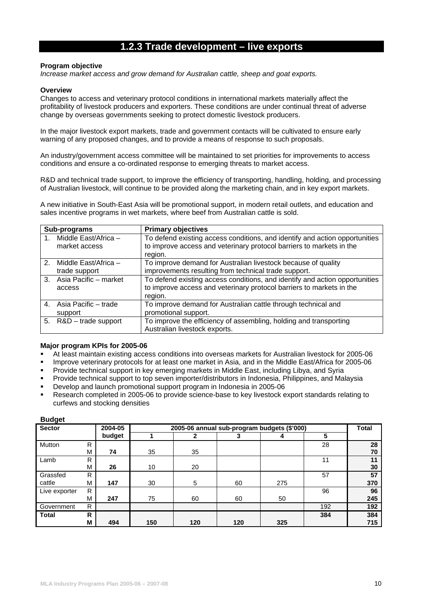# **1.2.3 Trade development – live exports**

### **Program objective**

*Increase market access and grow demand for Australian cattle, sheep and goat exports.* 

### **Overview**

Changes to access and veterinary protocol conditions in international markets materially affect the profitability of livestock producers and exporters. These conditions are under continual threat of adverse change by overseas governments seeking to protect domestic livestock producers.

In the major livestock export markets, trade and government contacts will be cultivated to ensure early warning of any proposed changes, and to provide a means of response to such proposals.

An industry/government access committee will be maintained to set priorities for improvements to access conditions and ensure a co-ordinated response to emerging threats to market access.

R&D and technical trade support, to improve the efficiency of transporting, handling, holding, and processing of Australian livestock, will continue to be provided along the marketing chain, and in key export markets.

A new initiative in South-East Asia will be promotional support, in modern retail outlets, and education and sales incentive programs in wet markets, where beef from Australian cattle is sold.

|               | Sub-programs             | <b>Primary objectives</b>                                                       |
|---------------|--------------------------|---------------------------------------------------------------------------------|
| $1_{\ldots}$  | Middle East/Africa -     | To defend existing access conditions, and identify and action opportunities     |
|               | market access            | to improve access and veterinary protocol barriers to markets in the<br>region. |
|               |                          |                                                                                 |
| $\mathcal{P}$ | Middle East/Africa -     | To improve demand for Australian livestock because of quality                   |
|               | trade support            | improvements resulting from technical trade support.                            |
|               | 3. Asia Pacific – market | To defend existing access conditions, and identify and action opportunities     |
|               | access                   | to improve access and veterinary protocol barriers to markets in the            |
|               |                          | region.                                                                         |
|               | 4. Asia Pacific – trade  | To improve demand for Australian cattle through technical and                   |
|               | support                  | promotional support.                                                            |
|               | 5. R&D - trade support   | To improve the efficiency of assembling, holding and transporting               |
|               |                          | Australian livestock exports.                                                   |

# **Major program KPIs for 2005-06**

- At least maintain existing access conditions into overseas markets for Australian livestock for 2005-06
- Improve veterinary protocols for at least one market in Asia, and in the Middle East/Africa for 2005-06
- Provide technical support in key emerging markets in Middle East, including Libya, and Syria
- Provide technical support to top seven importer/distributors in Indonesia, Philippines, and Malaysia
- Develop and launch promotional support program in Indonesia in 2005-06
- Research completed in 2005-06 to provide science-base to key livestock export standards relating to curfews and stocking densities

| <b>Sector</b> |   | 2004-05 | 2005-06 annual sub-program budgets (\$'000) |     |     |     |     |     |
|---------------|---|---------|---------------------------------------------|-----|-----|-----|-----|-----|
|               |   | budget  |                                             |     |     |     | 5   |     |
| Mutton        | R |         |                                             |     |     |     | 28  | 28  |
|               | M | 74      | 35                                          | 35  |     |     |     | 70  |
| Lamb          | R |         |                                             |     |     |     | 11  | 11  |
|               | M | 26      | 10                                          | 20  |     |     |     | 30  |
| Grassfed      | R |         |                                             |     |     |     | 57  | 57  |
| cattle        | M | 147     | 30                                          | 5   | 60  | 275 |     | 370 |
| Live exporter | R |         |                                             |     |     |     | 96  | 96  |
|               | M | 247     | 75                                          | 60  | 60  | 50  |     | 245 |
| Government    | R |         |                                             |     |     |     | 192 | 192 |
| <b>Total</b>  | R |         |                                             |     |     |     | 384 | 384 |
|               | M | 494     | 150                                         | 120 | 120 | 325 |     | 715 |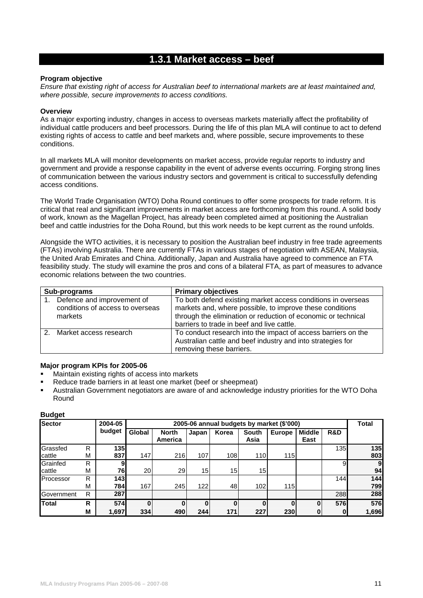# **1.3.1 Market access – beef**

### **Program objective**

*Ensure that existing right of access for Australian beef to international markets are at least maintained and, where possible, secure improvements to access conditions.* 

### **Overview**

As a major exporting industry, changes in access to overseas markets materially affect the profitability of individual cattle producers and beef processors. During the life of this plan MLA will continue to act to defend existing rights of access to cattle and beef markets and, where possible, secure improvements to these conditions.

In all markets MLA will monitor developments on market access, provide regular reports to industry and government and provide a response capability in the event of adverse events occurring. Forging strong lines of communication between the various industry sectors and government is critical to successfully defending access conditions.

The World Trade Organisation (WTO) Doha Round continues to offer some prospects for trade reform. It is critical that real and significant improvements in market access are forthcoming from this round. A solid body of work, known as the Magellan Project, has already been completed aimed at positioning the Australian beef and cattle industries for the Doha Round, but this work needs to be kept current as the round unfolds.

Alongside the WTO activities, it is necessary to position the Australian beef industry in free trade agreements (FTAs) involving Australia. There are currently FTAs in various stages of negotiation with ASEAN, Malaysia, the United Arab Emirates and China. Additionally, Japan and Australia have agreed to commence an FTA feasibility study. The study will examine the pros and cons of a bilateral FTA, as part of measures to advance economic relations between the two countries.

| Sub-programs                                                              | <b>Primary objectives</b>                                                                                                                                                                                                               |
|---------------------------------------------------------------------------|-----------------------------------------------------------------------------------------------------------------------------------------------------------------------------------------------------------------------------------------|
| Defence and improvement of<br>conditions of access to overseas<br>markets | To both defend existing market access conditions in overseas<br>markets and, where possible, to improve these conditions<br>through the elimination or reduction of economic or technical<br>barriers to trade in beef and live cattle. |
| Market access research                                                    | To conduct research into the impact of access barriers on the<br>Australian cattle and beef industry and into strategies for<br>removing these barriers.                                                                                |

### **Major program KPIs for 2005-06**

- Maintain existing rights of access into markets
- Reduce trade barriers in at least one market (beef or sheepmeat)
- Australian Government negotiators are aware of and acknowledge industry priorities for the WTO Doha Round

| <b>Sector</b> |   | 2004-05    | 2005-06 annual budgets by market (\$'000) |                         |          |          |                      |               |                       |              |       |
|---------------|---|------------|-------------------------------------------|-------------------------|----------|----------|----------------------|---------------|-----------------------|--------------|-------|
|               |   | budget     | Global                                    | <b>North</b><br>America | Japan    | Korea    | <b>South</b><br>Asia | <b>Europe</b> | <b>Middle</b><br>East | R&D          |       |
| Grassfed      | R | 135        |                                           |                         |          |          |                      |               |                       | 135          | 135   |
| cattle        | М | 837        | 147                                       | 216                     | 107      | 108      | 110                  | 115           |                       |              | 803   |
| Grainfed      | R | 9          |                                           |                         |          |          |                      |               |                       | 9            | 9     |
| cattle        | M | 76         | 20                                        | 29                      | 15       | 15       | 15                   |               |                       |              | 94    |
| Processor     | R | <b>143</b> |                                           |                         |          |          |                      |               |                       | 144          | 144   |
|               | М | 784        | 167                                       | 245                     | 122      | 48       | 102                  | 115           |                       |              | 799   |
| Government    | R | 287        |                                           |                         |          |          |                      |               |                       | 288          | 288   |
| <b>Total</b>  | R | 574        | $\bf{0}$                                  | 0                       | $\bf{0}$ | $\bf{0}$ | 0                    |               |                       | 576          | 576   |
|               | M | 1,697      | 334                                       | 490                     | 244      | 171      | 227                  | 230           | 0                     | $\mathbf{0}$ | 1,696 |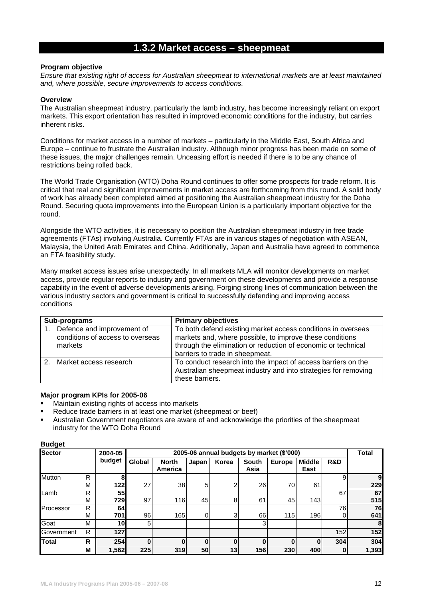# **1.3.2 Market access – sheepmeat**

### **Program objective**

*Ensure that existing right of access for Australian sheepmeat to international markets are at least maintained and, where possible, secure improvements to access conditions.* 

### **Overview**

The Australian sheepmeat industry, particularly the lamb industry, has become increasingly reliant on export markets. This export orientation has resulted in improved economic conditions for the industry, but carries inherent risks.

Conditions for market access in a number of markets – particularly in the Middle East, South Africa and Europe – continue to frustrate the Australian industry. Although minor progress has been made on some of these issues, the major challenges remain. Unceasing effort is needed if there is to be any chance of restrictions being rolled back.

The World Trade Organisation (WTO) Doha Round continues to offer some prospects for trade reform. It is critical that real and significant improvements in market access are forthcoming from this round. A solid body of work has already been completed aimed at positioning the Australian sheepmeat industry for the Doha Round. Securing quota improvements into the European Union is a particularly important objective for the round.

Alongside the WTO activities, it is necessary to position the Australian sheepmeat industry in free trade agreements (FTAs) involving Australia. Currently FTAs are in various stages of negotiation with ASEAN, Malaysia, the United Arab Emirates and China. Additionally, Japan and Australia have agreed to commence an FTA feasibility study.

Many market access issues arise unexpectedly. In all markets MLA will monitor developments on market access, provide regular reports to industry and government on these developments and provide a response capability in the event of adverse developments arising. Forging strong lines of communication between the various industry sectors and government is critical to successfully defending and improving access conditions

| Sub-programs                                                              | <b>Primary objectives</b>                                                                                                                                                                                                    |
|---------------------------------------------------------------------------|------------------------------------------------------------------------------------------------------------------------------------------------------------------------------------------------------------------------------|
| Defence and improvement of<br>conditions of access to overseas<br>markets | To both defend existing market access conditions in overseas<br>markets and, where possible, to improve these conditions<br>through the elimination or reduction of economic or technical<br>barriers to trade in sheepmeat. |
| Market access research                                                    | To conduct research into the impact of access barriers on the<br>Australian sheepmeat industry and into strategies for removing<br>these barriers.                                                                           |

# **Major program KPIs for 2005-06**

- Maintain existing rights of access into markets
- Reduce trade barriers in at least one market (sheepmeat or beef)
- Australian Government negotiators are aware of and acknowledge the priorities of the sheepmeat industry for the WTO Doha Round

| <b>Sector</b> |   | 2004-05    |        | 2005-06 annual budgets by market (\$'000) |          |       |               |               |                       |            |       |  |
|---------------|---|------------|--------|-------------------------------------------|----------|-------|---------------|---------------|-----------------------|------------|-------|--|
|               |   | budget     | Global | <b>North</b><br>America                   | Japan    | Korea | South<br>Asia | <b>Europe</b> | <b>Middle</b><br>East | R&D        |       |  |
| Mutton        | R | 8          |        |                                           |          |       |               |               |                       | 9          | 9     |  |
|               | М | <b>122</b> | 27     | 38                                        | 5        | 2     | 26            | 70            | 61                    |            | 229   |  |
| Lamb          | R | <b>55</b>  |        |                                           |          |       |               |               |                       | 67         | 67    |  |
|               | М | 7291       | 97     | 116                                       | 45       | 8     | 61            | 45            | 143                   |            | 515   |  |
| Processor     | R | 64         |        |                                           |          |       |               |               |                       | 76         | 76    |  |
|               | M | 701        | 96     | 165                                       | 0        | 3     | 66            | 115           | 196                   | 0          | 641   |  |
| Goat          | М | 10l        | 5      |                                           |          |       | 3             |               |                       |            | 8     |  |
| Government    | R | 127        |        |                                           |          |       |               |               |                       | <b>152</b> | 152   |  |
| Total         | R | 254        |        | ŋ                                         | $\bf{0}$ | 0     | $\bf{0}$      |               |                       | 304        | 304   |  |
|               | M | 1,562      | 225    | 319                                       | 50       | 13    | 156           | 230           | 400                   | $\bf{0}$   | 1,393 |  |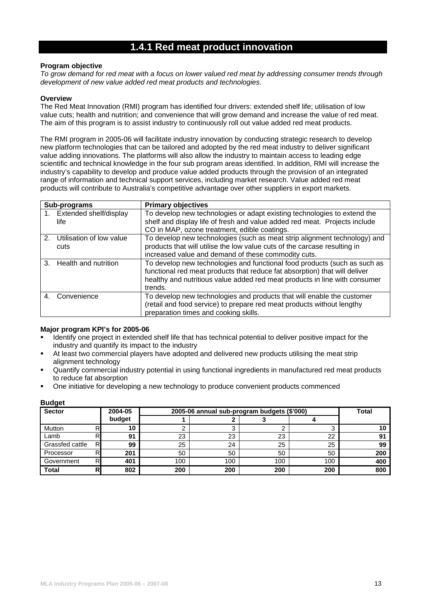# **1.4.1 Red meat product innovation**

### **Program objective**

*To grow demand for red meat with a focus on lower valued red meat by addressing consumer trends through development of new value added red meat products and technologies.* 

### **Overview**

The Red Meat Innovation (RMI) program has identified four drivers: extended shelf life; utilisation of low value cuts; health and nutrition; and convenience that will grow demand and increase the value of red meat. The aim of this program is to assist industry to continuously roll out value added red meat products.

The RMI program in 2005-06 will facilitate industry innovation by conducting strategic research to develop new platform technologies that can be tailored and adopted by the red meat industry to deliver significant value adding innovations. The platforms will also allow the industry to maintain access to leading edge scientific and technical knowledge in the four sub program areas identified. In addition, RMI will increase the industry's capability to develop and produce value added products through the provision of an integrated range of information and technical support services, including market research. Value added red meat products will contribute to Australia's competitive advantage over other suppliers in export markets.

| Sub-programs                           | <b>Primary objectives</b>                                                  |
|----------------------------------------|----------------------------------------------------------------------------|
| 1. Extended shelf/display              | To develop new technologies or adapt existing technologies to extend the   |
| life                                   | shelf and display life of fresh and value added red meat. Projects include |
|                                        | CO in MAP, ozone treatment, edible coatings.                               |
| Utilisation of low value<br>$2^{2}$    | To develop new technologies (such as meat strip alignment technology) and  |
| cuts                                   | products that will utilise the low value cuts of the carcase resulting in  |
|                                        | increased value and demand of these commodity cuts.                        |
| Health and nutrition<br>3 <sub>1</sub> | To develop new technologies and functional food products (such as such as  |
|                                        | functional red meat products that reduce fat absorption) that will deliver |
|                                        | healthy and nutritious value added red meat products in line with consumer |
|                                        | trends.                                                                    |
| Convenience<br>4                       | To develop new technologies and products that will enable the customer     |
|                                        | (retail and food service) to prepare red meat products without lengthy     |
|                                        | preparation times and cooking skills.                                      |

# **Major program KPI's for 2005-06**

- Identify one project in extended shelf life that has technical potential to deliver positive impact for the industry and quantify its impact to the industry
- At least two commercial players have adopted and delivered new products utilising the meat strip alignment technology
- Quantify commercial industry potential in using functional ingredients in manufactured red meat products to reduce fat absorption
- One initiative for developing a new technology to produce convenient products commenced

| <b>Sector</b>   | 2004-05<br>2005-06 annual sub-program budgets (\$'000) |        |     |     |     |     | <b>Total</b> |
|-----------------|--------------------------------------------------------|--------|-----|-----|-----|-----|--------------|
|                 |                                                        | budget |     |     |     |     |              |
| Mutton          |                                                        | 10     |     |     |     |     |              |
| Lamb            |                                                        | 91     | 23  | 23  | 23  | 22  | 91           |
| Grassfed cattle | R                                                      | 99     | 25  | 24  | 25  | 25  | 99           |
| Processor       | R                                                      | 201    | 50  | 50  | 50  | 50  | 200          |
| Government      | R                                                      | 401    | 100 | 100 | 100 | 100 | 400          |
| <b>Total</b>    | R                                                      | 802    | 200 | 200 | 200 | 200 | 800          |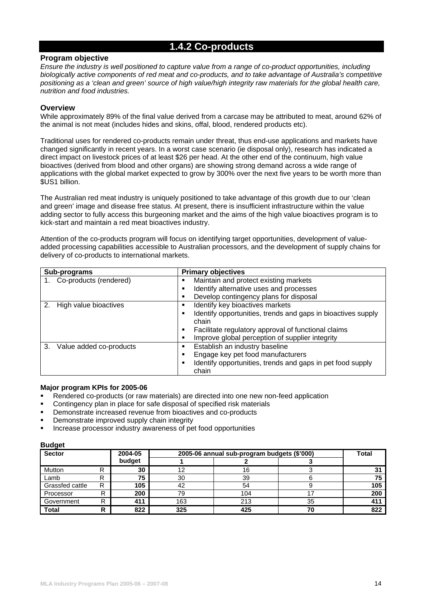# **1.4.2 Co-products**

# **Program objective**

*Ensure the industry is well positioned to capture value from a range of co-product opportunities, including biologically active components of red meat and co-products, and to take advantage of Australia's competitive positioning as a 'clean and green' source of high value/high integrity raw materials for the global health care, nutrition and food industries.* 

# **Overview**

While approximately 89% of the final value derived from a carcase may be attributed to meat, around 62% of the animal is not meat (includes hides and skins, offal, blood, rendered products etc).

Traditional uses for rendered co-products remain under threat, thus end-use applications and markets have changed significantly in recent years. In a worst case scenario (ie disposal only), research has indicated a direct impact on livestock prices of at least \$26 per head. At the other end of the continuum, high value bioactives (derived from blood and other organs) are showing strong demand across a wide range of applications with the global market expected to grow by 300% over the next five years to be worth more than \$US1 billion.

The Australian red meat industry is uniquely positioned to take advantage of this growth due to our 'clean and green' image and disease free status. At present, there is insufficient infrastructure within the value adding sector to fully access this burgeoning market and the aims of the high value bioactives program is to kick-start and maintain a red meat bioactives industry.

Attention of the co-products program will focus on identifying target opportunities, development of valueadded processing capabilities accessible to Australian processors, and the development of supply chains for delivery of co-products to international markets.

| Sub-programs                  | <b>Primary objectives</b>                                    |
|-------------------------------|--------------------------------------------------------------|
| 1. Co-products (rendered)     | Maintain and protect existing markets                        |
|                               | Identify alternative uses and processes                      |
|                               | Develop contingency plans for disposal                       |
| High value bioactives<br>2.   | Identify key bioactives markets                              |
|                               | Identify opportunities, trends and gaps in bioactives supply |
|                               | chain                                                        |
|                               | Facilitate regulatory approval of functional claims          |
|                               | Improve global perception of supplier integrity              |
| 3.<br>Value added co-products | Establish an industry baseline<br>٠                          |
|                               | Engage key pet food manufacturers                            |
|                               | Identify opportunities, trends and gaps in pet food supply   |
|                               | chain                                                        |

#### **Major program KPIs for 2005-06**

- Rendered co-products (or raw materials) are directed into one new non-feed application
- Contingency plan in place for safe disposal of specified risk materials
- Demonstrate increased revenue from bioactives and co-products
- Demonstrate improved supply chain integrity
- Increase processor industry awareness of pet food opportunities

| <b>Sector</b>   |   | 2004-05 |     | 2005-06 annual sub-program budgets (\$'000) | <b>Total</b> |     |
|-----------------|---|---------|-----|---------------------------------------------|--------------|-----|
|                 |   | budget  |     |                                             |              |     |
| Mutton          |   | 30      | 12  | 16                                          |              |     |
| Lamb            |   | 75      | 30  | 39                                          |              |     |
| Grassfed cattle | R | 105     | 42  | 54                                          |              | 105 |
| Processor       | R | 200     | 79  | 104                                         |              | 200 |
| Government      | R | 411     | 163 | 213                                         | 35           | 41' |
| <b>Total</b>    |   | 822     | 325 | 425                                         | 70           | 822 |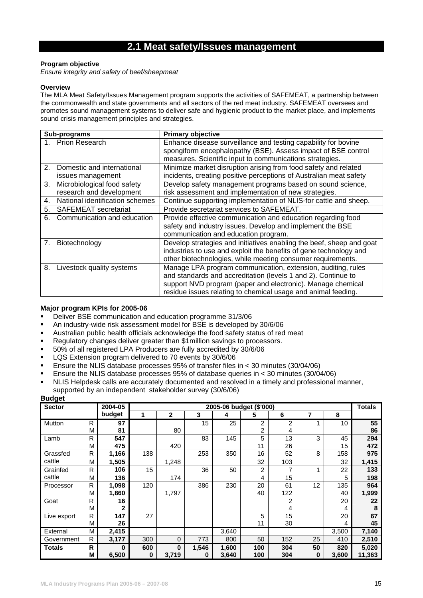# **2.1 Meat safety/Issues management**

### **Program objective**

*Ensure integrity and safety of beef/sheepmeat* 

### **Overview**

The MLA Meat Safety/Issues Management program supports the activities of SAFEMEAT, a partnership between the commonwealth and state governments and all sectors of the red meat industry. SAFEMEAT oversees and promotes sound management systems to deliver safe and hygienic product to the market place, and implements sound crisis management principles and strategies.

|                | Sub-programs                    | <b>Primary objective</b>                                             |
|----------------|---------------------------------|----------------------------------------------------------------------|
|                | 1. Prion Research               | Enhance disease surveillance and testing capability for bovine       |
|                |                                 | spongiform encephalopathy (BSE). Assess impact of BSE control        |
|                |                                 | measures. Scientific input to communications strategies.             |
| 2 <sub>1</sub> | Domestic and international      | Minimize market disruption arising from food safety and related      |
|                | issues management               | incidents, creating positive perceptions of Australian meat safety   |
| 3.             | Microbiological food safety     | Develop safety management programs based on sound science,           |
|                | research and development        | risk assessment and implementation of new strategies.                |
| 4.             | National identification schemes | Continue supporting implementation of NLIS-for cattle and sheep.     |
| 5.             | <b>SAFEMEAT</b> secretariat     | Provide secretariat services to SAFEMEAT.                            |
| 6.             | Communication and education     | Provide effective communication and education regarding food         |
|                |                                 | safety and industry issues. Develop and implement the BSE            |
|                |                                 | communication and education program.                                 |
|                | 7. Biotechnology                | Develop strategies and initiatives enabling the beef, sheep and goat |
|                |                                 | industries to use and exploit the benefits of gene technology and    |
|                |                                 | other biotechnologies, while meeting consumer requirements.          |
| 8.             | Livestock quality systems       | Manage LPA program communication, extension, auditing, rules         |
|                |                                 | and standards and accreditation (levels 1 and 2). Continue to        |
|                |                                 | support NVD program (paper and electronic). Manage chemical          |
|                |                                 | residue issues relating to chemical usage and animal feeding.        |

# **Major program KPIs for 2005-06**

- Deliver BSE communication and education programme 31/3/06
- An industry-wide risk assessment model for BSE is developed by 30/6/06
- Australian public health officials acknowledge the food safety status of red meat
- Regulatory changes deliver greater than \$1million savings to processors.
- 50% of all registered LPA Producers are fully accredited by 30/6/06
- **LQS** Extension program delivered to 70 events by 30/6/06
- Ensure the NLIS database processes 95% of transfer files in < 30 minutes (30/04/06)
- **Ensure the NLIS database processes 95% of database queries in**  $\lt$  **30 minutes (30/04/06)**
- NLIS Helpdesk calls are accurately documented and resolved in a timely and professional manner, supported by an independent stakeholder survey (30/6/06)

| <b>Sector</b> |   | 2004-05      |     |                |       | 2005-06 budget (\$'000) |     |     |    |       | <b>Totals</b> |
|---------------|---|--------------|-----|----------------|-------|-------------------------|-----|-----|----|-------|---------------|
|               |   | budget       | 1   | $\overline{2}$ | 3     | 4                       | 5   | 6   | 7  | 8     |               |
| Mutton        | R | 97           |     |                | 15    | 25                      | 2   | 2   | 1  | 10    | 55            |
|               | M | 81           |     | 80             |       |                         | 2   | 4   |    |       | 86            |
| Lamb          | R | 547          |     |                | 83    | 145                     | 5   | 13  | 3  | 45    | 294           |
|               | М | 475          |     | 420            |       |                         | 11  | 26  |    | 15    | 472           |
| Grassfed      | R | 1,166        | 138 |                | 253   | 350                     | 16  | 52  | 8  | 158   | 975           |
| cattle        | M | 1,505        |     | 1,248          |       |                         | 32  | 103 |    | 32    | 1,415         |
| Grainfed      | R | 106          | 15  |                | 36    | 50                      | 2   | 7   | 1  | 22    | 133           |
| cattle        | M | 136          |     | 174            |       |                         | 4   | 15  |    | 5     | 198           |
| Processor     | R | 1,098        | 120 |                | 386   | 230                     | 20  | 61  | 12 | 135   | 964           |
|               | M | 1,860        |     | 1,797          |       |                         | 40  | 122 |    | 40    | 1,999         |
| Goat          | R | 16           |     |                |       |                         |     | 2   |    | 20    | 22            |
|               | M | $\mathbf{2}$ |     |                |       |                         |     | 4   |    | 4     | 8             |
| Live export   | R | 147          | 27  |                |       |                         | 5   | 15  |    | 20    | 67            |
|               | M | 26           |     |                |       |                         | 11  | 30  |    | 4     | 45            |
| External      | M | 2,415        |     |                |       | 3,640                   |     |     |    | 3,500 | 7,140         |
| Government    | R | 3,177        | 300 | 0              | 773   | 800                     | 50  | 152 | 25 | 410   | 2,510         |
| <b>Totals</b> | R | 0            | 600 | 0              | 1,546 | 1,600                   | 100 | 304 | 50 | 820   | 5,020         |
|               | M | 6,500        | 0   | 3,719          | 0     | 3,640                   | 100 | 304 | 0  | 3,600 | 11,363        |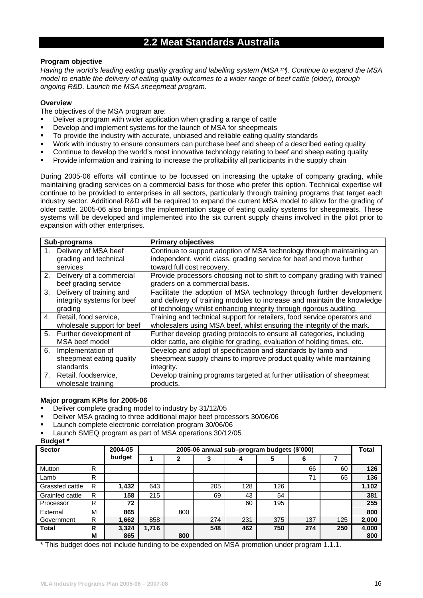# **2.2 Meat Standards Australia**

# **Program objective**

*Having the world's leading eating quality grading and labelling system (MSA™). Continue to expand the MSA model to enable the delivery of eating quality outcomes to a wider range of beef cattle (older), through ongoing R&D. Launch the MSA sheepmeat program.* 

### **Overview**

The objectives of the MSA program are:

- Deliver a program with wider application when grading a range of cattle
- Develop and implement systems for the launch of MSA for sheepmeats
- To provide the industry with accurate, unbiased and reliable eating quality standards
- Work with industry to ensure consumers can purchase beef and sheep of a described eating quality
- Continue to develop the world's most innovative technology relating to beef and sheep eating quality
- Provide information and training to increase the profitability all participants in the supply chain

During 2005-06 efforts will continue to be focussed on increasing the uptake of company grading, while maintaining grading services on a commercial basis for those who prefer this option. Technical expertise will continue to be provided to enterprises in all sectors, particularly through training programs that target each industry sector. Additional R&D will be required to expand the current MSA model to allow for the grading of older cattle. 2005-06 also brings the implementation stage of eating quality systems for sheepmeats. These systems will be developed and implemented into the six current supply chains involved in the pilot prior to expansion with other enterprises.

|    | Sub-programs               | <b>Primary objectives</b>                                                 |
|----|----------------------------|---------------------------------------------------------------------------|
|    | Delivery of MSA beef       | Continue to support adoption of MSA technology through maintaining an     |
|    | grading and technical      | independent, world class, grading service for beef and move further       |
|    | services                   | toward full cost recovery.                                                |
| 2. | Delivery of a commercial   | Provide processors choosing not to shift to company grading with trained  |
|    | beef grading service       | graders on a commercial basis.                                            |
| 3. | Delivery of training and   | Facilitate the adoption of MSA technology through further development     |
|    | integrity systems for beef | and delivery of training modules to increase and maintain the knowledge   |
|    | grading                    | of technology whilst enhancing integrity through rigorous auditing.       |
|    | 4. Retail, food service,   | Training and technical support for retailers, food service operators and  |
|    | wholesale support for beef | wholesalers using MSA beef, whilst ensuring the integrity of the mark.    |
|    | 5. Further development of  | Further develop grading protocols to ensure all categories, including     |
|    | MSA beef model             | older cattle, are eligible for grading, evaluation of holding times, etc. |
| 6. | Implementation of          | Develop and adopt of specification and standards by lamb and              |
|    | sheepmeat eating quality   | sheepmeat supply chains to improve product quality while maintaining      |
|    | standards                  | integrity.                                                                |
| 7. | Retail, foodservice,       | Develop training programs targeted at further utilisation of sheepmeat    |
|    | wholesale training         | products.                                                                 |

### **Major program KPIs for 2005-06**

- Deliver complete grading model to industry by 31/12/05
- Deliver MSA grading to three additional major beef processors 30/06/06
- Launch complete electronic correlation program 30/06/06
- Launch SMEQ program as part of MSA operations 30/12/05

# **Budget \***

| <b>Sector</b>   |        | 2004-05      | 2005-06 annual sub-program budgets (\$'000) |     |     |     |     |     |     |              |
|-----------------|--------|--------------|---------------------------------------------|-----|-----|-----|-----|-----|-----|--------------|
|                 |        | budget       |                                             |     |     |     | 5   | 6   |     |              |
| Mutton          | R      |              |                                             |     |     |     |     | 66  | 60  | 126          |
| Lamb            | R      |              |                                             |     |     |     |     | 71  | 65  | 136          |
| Grassfed cattle | R      | 1,432        | 643                                         |     | 205 | 128 | 126 |     |     | 1,102        |
| Grainfed cattle | R      | 158          | 215                                         |     | 69  | 43  | 54  |     |     | 381          |
| Processor       | R      | 72           |                                             |     |     | 60  | 195 |     |     | 255          |
| External        | M      | 865          |                                             | 800 |     |     |     |     |     | 800          |
| Government      | R      | 1,662        | 858                                         |     | 274 | 231 | 375 | 137 | 125 | 2,000        |
| <b>Total</b>    | R<br>M | 3,324<br>865 | 1,716                                       | 800 | 548 | 462 | 750 | 274 | 250 | 4,000<br>800 |

\* This budget does not include funding to be expended on MSA promotion under program 1.1.1.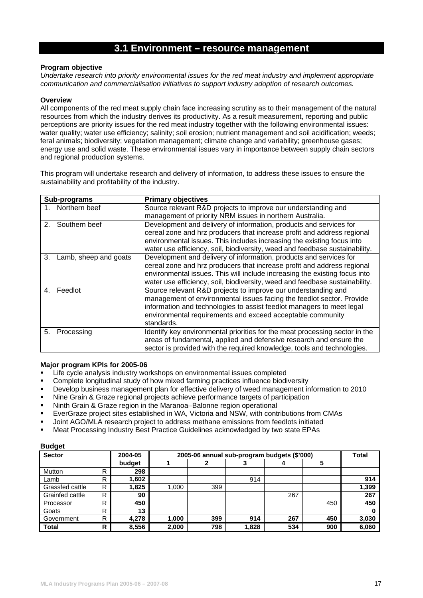# **3.1 Environment – resource management**

### **Program objective**

*Undertake research into priority environmental issues for the red meat industry and implement appropriate communication and commercialisation initiatives to support industry adoption of research outcomes.* 

### **Overview**

All components of the red meat supply chain face increasing scrutiny as to their management of the natural resources from which the industry derives its productivity. As a result measurement, reporting and public perceptions are priority issues for the red meat industry together with the following environmental issues: water quality; water use efficiency; salinity; soil erosion; nutrient management and soil acidification; weeds; feral animals; biodiversity; vegetation management; climate change and variability; greenhouse gases; energy use and solid waste. These environmental issues vary in importance between supply chain sectors and regional production systems.

This program will undertake research and delivery of information, to address these issues to ensure the sustainability and profitability of the industry.

| Sub-programs                | <b>Primary objectives</b>                                                   |
|-----------------------------|-----------------------------------------------------------------------------|
| 1. Northern beef            | Source relevant R&D projects to improve our understanding and               |
|                             | management of priority NRM issues in northern Australia.                    |
| Southern beef<br>2.         | Development and delivery of information, products and services for          |
|                             | cereal zone and hrz producers that increase profit and address regional     |
|                             | environmental issues. This includes increasing the existing focus into      |
|                             | water use efficiency, soil, biodiversity, weed and feedbase sustainability. |
| 3.<br>Lamb, sheep and goats | Development and delivery of information, products and services for          |
|                             | cereal zone and hrz producers that increase profit and address regional     |
|                             | environmental issues. This will include increasing the existing focus into  |
|                             | water use efficiency, soil, biodiversity, weed and feedbase sustainability. |
| Feedlot<br>4                | Source relevant R&D projects to improve our understanding and               |
|                             | management of environmental issues facing the feedlot sector. Provide       |
|                             | information and technologies to assist feedlot managers to meet legal       |
|                             | environmental requirements and exceed acceptable community                  |
|                             | standards.                                                                  |
| 5.<br>Processing            | Identify key environmental priorities for the meat processing sector in the |
|                             | areas of fundamental, applied and defensive research and ensure the         |
|                             | sector is provided with the required knowledge, tools and technologies.     |

### **Major program KPIs for 2005-06**

- Life cycle analysis industry workshops on environmental issues completed
- Complete longitudinal study of how mixed farming practices influence biodiversity
- Develop business management plan for effective delivery of weed management information to 2010
- Nine Grain & Graze regional projects achieve performance targets of participation
- Ninth Grain & Graze region in the Maranoa–Balonne region operational
- EverGraze project sites established in WA, Victoria and NSW, with contributions from CMAs
- Joint AGO/MLA research project to address methane emissions from feedlots initiated
- Meat Processing Industry Best Practice Guidelines acknowledged by two state EPAs

| - - - - -<br><b>Sector</b> |   | 2004-05 | 2005-06 annual sub-program budgets (\$'000) | <b>Total</b> |       |     |     |       |
|----------------------------|---|---------|---------------------------------------------|--------------|-------|-----|-----|-------|
|                            |   | budget  |                                             |              |       |     | 5   |       |
| Mutton                     | R | 298     |                                             |              |       |     |     |       |
| Lamb                       | R | 1,602   |                                             |              | 914   |     |     | 914   |
| Grassfed cattle            | R | 1,825   | 1,000                                       | 399          |       |     |     | 1,399 |
| Grainfed cattle            | R | 90      |                                             |              |       | 267 |     | 267   |
| Processor                  | R | 450     |                                             |              |       |     | 450 | 450   |
| Goats                      | R | 13      |                                             |              |       |     |     |       |
| Government                 | R | 4,278   | 1,000                                       | 399          | 914   | 267 | 450 | 3,030 |
| <b>Total</b>               | R | 8,556   | 2,000                                       | 798          | 1,828 | 534 | 900 | 6,060 |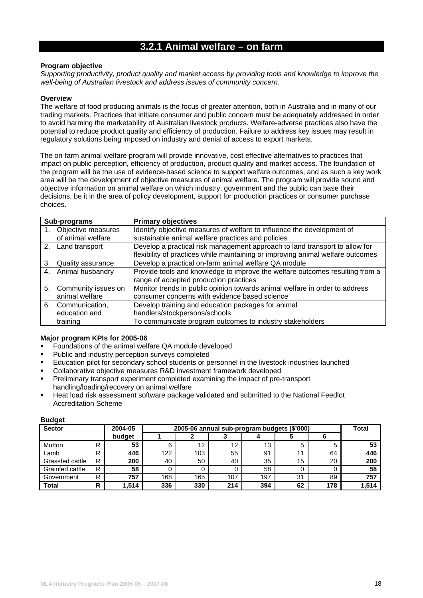# **3.2.1 Animal welfare – on farm**

### **Program objective**

*Supporting productivity, product quality and market access by providing tools and knowledge to improve the well-being of Australian livestock and address issues of community concern.* 

#### **Overview**

The welfare of food producing animals is the focus of greater attention, both in Australia and in many of our trading markets. Practices that initiate consumer and public concern must be adequately addressed in order to avoid harming the marketability of Australian livestock products. Welfare-adverse practices also have the potential to reduce product quality and efficiency of production. Failure to address key issues may result in regulatory solutions being imposed on industry and denial of access to export markets.

The on-farm animal welfare program will provide innovative, cost effective alternatives to practices that impact on public perception, efficiency of production, product quality and market access. The foundation of the program will be the use of evidence-based science to support welfare outcomes, and as such a key work area will be the development of objective measures of animal welfare. The program will provide sound and objective information on animal welfare on which industry, government and the public can base their decisions, be it in the area of policy development, support for production practices or consumer purchase choices.

| Sub-programs           | <b>Primary objectives</b>                                                       |
|------------------------|---------------------------------------------------------------------------------|
| 1. Objective measures  | Identify objective measures of welfare to influence the development of          |
| of animal welfare      | sustainable animal welfare practices and policies                               |
| 2. Land transport      | Develop a practical risk management approach to land transport to allow for     |
|                        | flexibility of practices while maintaining or improving animal welfare outcomes |
| 3. Quality assurance   | Develop a practical on-farm animal welfare QA module                            |
| 4. Animal husbandry    | Provide tools and knowledge to improve the welfare outcomes resulting from a    |
|                        | range of accepted production practices                                          |
| 5. Community issues on | Monitor trends in public opinion towards animal welfare in order to address     |
| animal welfare         | consumer concerns with evidence based science                                   |
| 6. Communication,      | Develop training and education packages for animal                              |
| education and          | handlers/stockpersons/schools                                                   |
| training               | To communicate program outcomes to industry stakeholders                        |

# **Major program KPIs for 2005-06**

- Foundations of the animal welfare QA module developed
- **Public and industry perception surveys completed**
- Education pilot for secondary school students or personnel in the livestock industries launched
- Collaborative objective measures R&D investment framework developed
- Preliminary transport experiment completed examining the impact of pre-transport handling/loading/recovery on animal welfare
- Heat load risk assessment software package validated and submitted to the National Feedlot Accreditation Scheme

| <b>Sector</b>          |   | 2004-05 | 2005-06 annual sub-program budgets (\$'000) | <b>Total</b> |     |     |    |     |       |
|------------------------|---|---------|---------------------------------------------|--------------|-----|-----|----|-----|-------|
|                        |   | budget  |                                             |              |     |     |    |     |       |
| Mutton                 | R | 53      | 6                                           | 12           | 12  | 13  | b  |     | 53    |
| Lamb                   | R | 446     | 122                                         | 103          | 55  | 91  |    | 64  | 446   |
| Grassfed cattle        | R | 200     | 40                                          | 50           | 40  | 35  | 15 | 20  | 200   |
| <b>Grainfed cattle</b> | R | 58      | O                                           |              |     | 58  |    |     | 58    |
| Government             | R | 757     | 168                                         | 165          | 107 | 197 | 31 | 89  | 757   |
| <b>Total</b>           | R | 1,514   | 336                                         | 330          | 214 | 394 | 62 | 178 | 1,514 |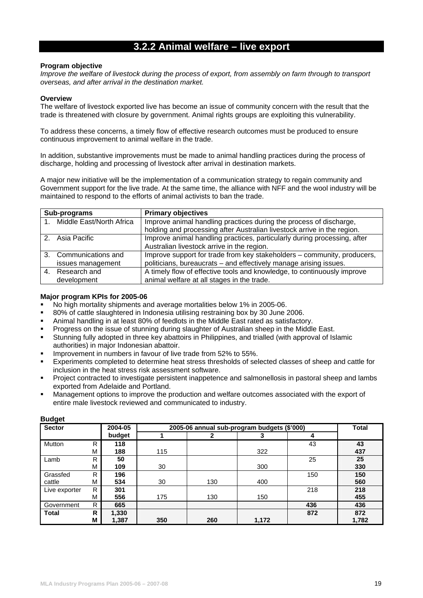# **3.2.2 Animal welfare – live export**

### **Program objective**

*Improve the welfare of livestock during the process of export, from assembly on farm through to transport overseas, and after arrival in the destination market.* 

#### **Overview**

The welfare of livestock exported live has become an issue of community concern with the result that the trade is threatened with closure by government. Animal rights groups are exploiting this vulnerability.

To address these concerns, a timely flow of effective research outcomes must be produced to ensure continuous improvement to animal welfare in the trade.

In addition, substantive improvements must be made to animal handling practices during the process of discharge, holding and processing of livestock after arrival in destination markets.

A major new initiative will be the implementation of a communication strategy to regain community and Government support for the live trade. At the same time, the alliance with NFF and the wool industry will be maintained to respond to the efforts of animal activists to ban the trade.

| Sub-programs                | <b>Primary objectives</b>                                                                                                                     |
|-----------------------------|-----------------------------------------------------------------------------------------------------------------------------------------------|
| 1. Middle East/North Africa | Improve animal handling practices during the process of discharge,<br>holding and processing after Australian livestock arrive in the region. |
| 2. Asia Pacific             | Improve animal handling practices, particularly during processing, after                                                                      |
|                             | Australian livestock arrive in the region.                                                                                                    |
| 3. Communications and       | Improve support for trade from key stakeholders - community, producers,                                                                       |
| issues management           | politicians, bureaucrats - and effectively manage arising issues.                                                                             |
| 4. Research and             | A timely flow of effective tools and knowledge, to continuously improve                                                                       |
| development                 | animal welfare at all stages in the trade.                                                                                                    |

### **Major program KPIs for 2005-06**

- No high mortality shipments and average mortalities below 1% in 2005-06.
- 80% of cattle slaughtered in Indonesia utilising restraining box by 30 June 2006.
- Animal handling in at least 80% of feedlots in the Middle East rated as satisfactory.
- Progress on the issue of stunning during slaughter of Australian sheep in the Middle East.
- Stunning fully adopted in three key abattoirs in Philippines, and trialled (with approval of Islamic authorities) in major Indonesian abattoir.
- Improvement in numbers in favour of live trade from 52% to 55%.
- Experiments completed to determine heat stress thresholds of selected classes of sheep and cattle for inclusion in the heat stress risk assessment software.
- Project contracted to investigate persistent inappetence and salmonellosis in pastoral sheep and lambs exported from Adelaide and Portland.
- Management options to improve the production and welfare outcomes associated with the export of entire male livestock reviewed and communicated to industry.

| <b>Sector</b> |   | 2004-05 |     | 2005-06 annual sub-program budgets (\$'000) |       |     | <b>Total</b> |
|---------------|---|---------|-----|---------------------------------------------|-------|-----|--------------|
|               |   | budget  |     | 2                                           | 3     | 4   |              |
| Mutton        | R | 118     |     |                                             |       | 43  | 43           |
|               | М | 188     | 115 |                                             | 322   |     | 437          |
| Lamb          | R | 50      |     |                                             |       | 25  | 25           |
|               | М | 109     | 30  |                                             | 300   |     | 330          |
| Grassfed      | R | 196     |     |                                             |       | 150 | 150          |
| cattle        | М | 534     | 30  | 130                                         | 400   |     | 560          |
| Live exporter | R | 301     |     |                                             |       | 218 | 218          |
|               | М | 556     | 175 | 130                                         | 150   |     | 455          |
| Government    | R | 665     |     |                                             |       | 436 | 436          |
| <b>Total</b>  | R | 1,330   |     |                                             |       | 872 | 872          |
|               | М | 1,387   | 350 | 260                                         | 1,172 |     | 1,782        |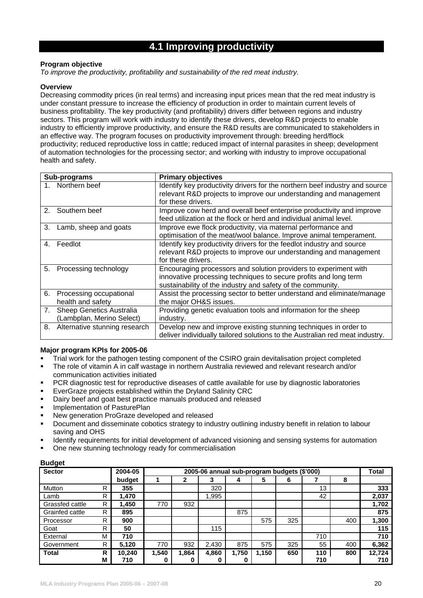# **4.1 Improving productivity**

# **Program objective**

*To improve the productivity, profitability and sustainability of the red meat industry.* 

# **Overview**

Decreasing commodity prices (in real terms) and increasing input prices mean that the red meat industry is under constant pressure to increase the efficiency of production in order to maintain current levels of business profitability. The key productivity (and profitability) drivers differ between regions and industry sectors. This program will work with industry to identify these drivers, develop R&D projects to enable industry to efficiently improve productivity, and ensure the R&D results are communicated to stakeholders in an effective way. The program focuses on productivity improvement through: breeding herd/flock productivity; reduced reproductive loss in cattle; reduced impact of internal parasites in sheep; development of automation technologies for the processing sector; and working with industry to improve occupational health and safety.

|                | Sub-programs                  | <b>Primary objectives</b>                                                    |
|----------------|-------------------------------|------------------------------------------------------------------------------|
|                | 1. Northern beef              | Identify key productivity drivers for the northern beef industry and source  |
|                |                               | relevant R&D projects to improve our understanding and management            |
|                |                               | for these drivers.                                                           |
| 2 <sub>1</sub> | Southern beef                 | Improve cow herd and overall beef enterprise productivity and improve        |
|                |                               | feed utilization at the flock or herd and individual animal level.           |
| 3.             | Lamb, sheep and goats         | Improve ewe flock productivity, via maternal performance and                 |
|                |                               | optimisation of the meat/wool balance. Improve animal temperament.           |
| 4.             | Feedlot                       | Identify key productivity drivers for the feedlot industry and source        |
|                |                               | relevant R&D projects to improve our understanding and management            |
|                |                               | for these drivers.                                                           |
| 5.             | Processing technology         | Encouraging processors and solution providers to experiment with             |
|                |                               | innovative processing techniques to secure profits and long term             |
|                |                               | sustainability of the industry and safety of the community.                  |
| 6.             | Processing occupational       | Assist the processing sector to better understand and eliminate/manage       |
|                | health and safety             | the major OH&S issues.                                                       |
| 7.             | Sheep Genetics Australia      | Providing genetic evaluation tools and information for the sheep             |
|                | (Lambplan, Merino Select)     | industry.                                                                    |
| 8.             | Alternative stunning research | Develop new and improve existing stunning techniques in order to             |
|                |                               | deliver individually tailored solutions to the Australian red meat industry. |

# **Major program KPIs for 2005-06**

- Trial work for the pathogen testing component of the CSIRO grain devitalisation project completed
- The role of vitamin A in calf wastage in northern Australia reviewed and relevant research and/or communication activities initiated
- PCR diagnostic test for reproductive diseases of cattle available for use by diagnostic laboratories
- EverGraze projects established within the Dryland Salinity CRC
- Dairy beef and goat best practice manuals produced and released
- **Implementation of PasturePlan**
- New generation ProGraze developed and released
- Document and disseminate cobotics strategy to industry outlining industry benefit in relation to labour saving and OHS
- Identify requirements for initial development of advanced visioning and sensing systems for automation
- One new stunning technology ready for commercialisation

| <b>Sector</b>   |    | 2004-05 | 2005-06 annual sub-program budgets (\$'000) |       |       |       |       |     |     |     | <b>Total</b> |
|-----------------|----|---------|---------------------------------------------|-------|-------|-------|-------|-----|-----|-----|--------------|
|                 |    | budget  |                                             | 2     | 3     | 4     | 5     | 6   |     | 8   |              |
| Mutton          | R. | 355     |                                             |       | 320   |       |       |     | 13  |     | 333          |
| Lamb            | R. | 1,470   |                                             |       | 1,995 |       |       |     | 42  |     | 2,037        |
| Grassfed cattle | R  | 1,450   | 770                                         | 932   |       |       |       |     |     |     | 1,702        |
| Grainfed cattle | R. | 895     |                                             |       |       | 875   |       |     |     |     | 875          |
| Processor       | R. | 900     |                                             |       |       |       | 575   | 325 |     | 400 | 1,300        |
| Goat            | R. | 50      |                                             |       | 115   |       |       |     |     |     | 115          |
| External        | м  | 710     |                                             |       |       |       |       |     | 710 |     | 710          |
| Government      | R. | 5,120   | 770                                         | 932   | 2,430 | 875   | 575   | 325 | 55  | 400 | 6,362        |
| <b>Total</b>    | R  | 10,240  | 1,540                                       | 1,864 | 4,860 | 1,750 | 1.150 | 650 | 110 | 800 | 12,724       |
|                 | м  | 710     | 0                                           | 0     | 0     |       |       |     | 710 |     | 710          |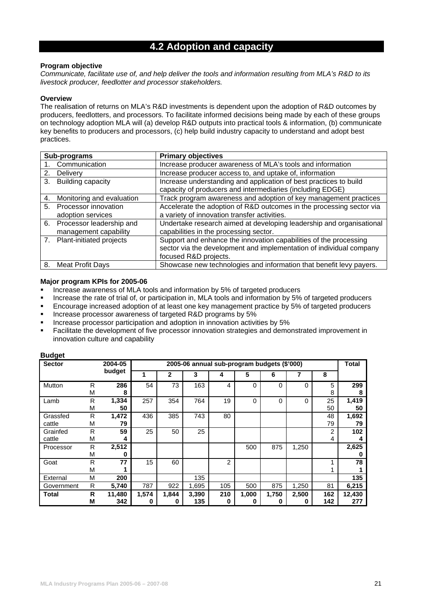# **4.2 Adoption and capacity**

### **Program objective**

*Communicate, facilitate use of, and help deliver the tools and information resulting from MLA's R&D to its livestock producer, feedlotter and processor stakeholders.* 

### **Overview**

The realisation of returns on MLA's R&D investments is dependent upon the adoption of R&D outcomes by producers, feedlotters, and processors. To facilitate informed decisions being made by each of these groups on technology adoption MLA will (a) develop R&D outputs into practical tools & information, (b) communicate key benefits to producers and processors, (c) help build industry capacity to understand and adopt best practices.

|                | Sub-programs                | <b>Primary objectives</b>                                            |
|----------------|-----------------------------|----------------------------------------------------------------------|
|                | 1. Communication            | Increase producer awareness of MLA's tools and information           |
| 2.             | Delivery                    | Increase producer access to, and uptake of, information              |
| 3.             | Building capacity           | Increase understanding and application of best practices to build    |
|                |                             | capacity of producers and intermediaries (including EDGE)            |
| 4.             | Monitoring and evaluation   | Track program awareness and adoption of key management practices     |
| 5 <sub>1</sub> | Processor innovation        | Accelerate the adoption of R&D outcomes in the processing sector via |
|                | adoption services           | a variety of innovation transfer activities.                         |
| 6.             | Processor leadership and    | Undertake research aimed at developing leadership and organisational |
|                | management capability       | capabilities in the processing sector.                               |
|                | 7. Plant-initiated projects | Support and enhance the innovation capabilities of the processing    |
|                |                             | sector via the development and implementation of individual company  |
|                |                             | focused R&D projects.                                                |
| 8.             | <b>Meat Profit Days</b>     | Showcase new technologies and information that benefit levy payers.  |

### **Major program KPIs for 2005-06**

- Increase awareness of MLA tools and information by 5% of targeted producers
- Increase the rate of trial of, or participation in, MLA tools and information by 5% of targeted producers
- Encourage increased adoption of at least one key management practice by 5% of targeted producers
- **Increase processor awareness of targeted R&D programs by 5%**
- Increase processor participation and adoption in innovation activities by 5%
- Facilitate the development of five processor innovation strategies and demonstrated improvement in innovation culture and capability

| <b>Sector</b>      |        | 2004-05       |            | 2005-06 annual sub-program budgets (\$'000) |              |                |            |            |            |            |               |  |
|--------------------|--------|---------------|------------|---------------------------------------------|--------------|----------------|------------|------------|------------|------------|---------------|--|
|                    |        | budget        |            | $\mathbf{2}$                                | 3            | 4              | 5          | 6          |            | 8          |               |  |
| Mutton             | R<br>M | 286<br>8      | 54         | 73                                          | 163          | 4              | 0          | 0          | 0          | 5<br>8     | 299<br>8      |  |
| Lamb               | R<br>M | 1,334<br>50   | 257        | 354                                         | 764          | 19             | 0          | 0          | 0          | 25<br>50   | 1,419<br>50   |  |
| Grassfed<br>cattle | R<br>M | 1,472<br>79   | 436        | 385                                         | 743          | 80             |            |            |            | 48<br>79   | 1,692<br>79   |  |
| Grainfed<br>cattle | R<br>M | 59<br>4       | 25         | 50                                          | 25           |                |            |            |            | 2<br>4     | 102<br>4      |  |
| Processor          | R<br>М | 2,512<br>n    |            |                                             |              |                | 500        | 875        | 1,250      |            | 2,625<br>0    |  |
| Goat               | R<br>M | 77            | 15         | 60                                          |              | $\overline{2}$ |            |            |            |            | 78            |  |
| External           | M      | 200           |            |                                             | 135          |                |            |            |            |            | 135           |  |
| Government         | R      | 5,740         | 787        | 922                                         | 1,695        | 105            | 500        | 875        | 1,250      | 81         | 6,215         |  |
| <b>Total</b>       | R<br>М | 11,480<br>342 | 1,574<br>0 | 1,844<br>0                                  | 3,390<br>135 | 210<br>0       | 1,000<br>O | 1,750<br>O | 2,500<br>O | 162<br>142 | 12,430<br>277 |  |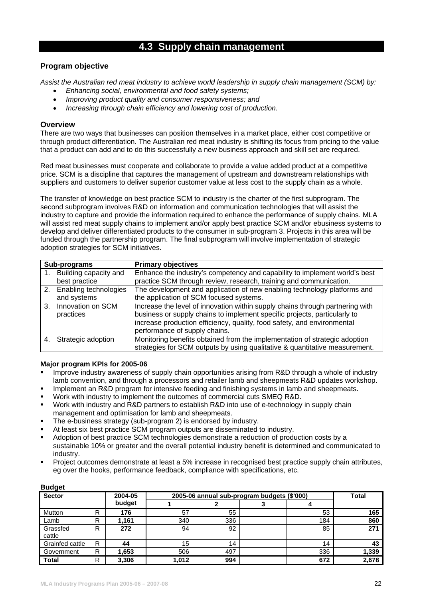# **4.3 Supply chain management**

# **Program objective**

*Assist the Australian red meat industry to achieve world leadership in supply chain management (SCM) by:* 

- *Enhancing social, environmental and food safety systems;*
- *Improving product quality and consumer responsiveness; and*
- *Increasing through chain efficiency and lowering cost of production.*

### **Overview**

There are two ways that businesses can position themselves in a market place, either cost competitive or through product differentiation. The Australian red meat industry is shifting its focus from pricing to the value that a product can add and to do this successfully a new business approach and skill set are required.

Red meat businesses must cooperate and collaborate to provide a value added product at a competitive price. SCM is a discipline that captures the management of upstream and downstream relationships with suppliers and customers to deliver superior customer value at less cost to the supply chain as a whole.

The transfer of knowledge on best practice SCM to industry is the charter of the first subprogram. The second subprogram involves R&D on information and communication technologies that will assist the industry to capture and provide the information required to enhance the performance of supply chains. MLA will assist red meat supply chains to implement and/or apply best practice SCM and/or ebusiness systems to develop and deliver differentiated products to the consumer in sub-program 3. Projects in this area will be funded through the partnership program. The final subprogram will involve implementation of strategic adoption strategies for SCM initiatives.

|    | Sub-programs             | <b>Primary objectives</b>                                                     |
|----|--------------------------|-------------------------------------------------------------------------------|
|    | Building capacity and    | Enhance the industry's competency and capability to implement world's best    |
|    | best practice            | practice SCM through review, research, training and communication.            |
|    | 2. Enabling technologies | The development and application of new enabling technology platforms and      |
|    | and systems              | the application of SCM focused systems.                                       |
| 3. | Innovation on SCM        | Increase the level of innovation within supply chains through partnering with |
|    | practices                | business or supply chains to implement specific projects, particularly to     |
|    |                          | increase production efficiency, quality, food safety, and environmental       |
|    |                          | performance of supply chains.                                                 |
|    | Strategic adoption       | Monitoring benefits obtained from the implementation of strategic adoption    |
|    |                          | strategies for SCM outputs by using qualitative & quantitative measurement.   |

### **Major program KPIs for 2005-06**

- Improve industry awareness of supply chain opportunities arising from R&D through a whole of industry lamb convention, and through a processors and retailer lamb and sheepmeats R&D updates workshop.
- **IMPLEM** Implement an R&D program for intensive feeding and finishing systems in lamb and sheepmeats.
- Work with industry to implement the outcomes of commercial cuts SMEQ R&D.
- Work with industry and R&D partners to establish R&D into use of e-technology in supply chain management and optimisation for lamb and sheepmeats.
- The e-business strategy (sub-program 2) is endorsed by industry.
- At least six best practice SCM program outputs are disseminated to industry.
- Adoption of best practice SCM technologies demonstrate a reduction of production costs by a sustainable 10% or greater and the overall potential industry benefit is determined and communicated to industry.
- Project outcomes demonstrate at least a 5% increase in recognised best practice supply chain attributes, eg over the hooks, performance feedback, compliance with specifications, etc.

| Duuyet<br><b>Sector</b> |   | 2004-05 | 2005-06 annual sub-program budgets (\$'000) | <b>Total</b> |     |       |
|-------------------------|---|---------|---------------------------------------------|--------------|-----|-------|
|                         |   | budget  |                                             |              |     |       |
| Mutton                  | R | 176     | 57                                          | 55           | 53  | 165   |
| Lamb                    | R | 1,161   | 340                                         | 336          | 184 | 860   |
| Grassfed<br>cattle      | R | 272     | 94                                          | 92           | 85  | 271   |
| Grainfed cattle         | R | 44      | 15                                          | 14           | 14  | 43    |
| Government              | R | 1,653   | 506                                         | 497          | 336 | 1,339 |
| <b>Total</b>            | R | 3,306   | 1,012                                       | 994          | 672 | 2,678 |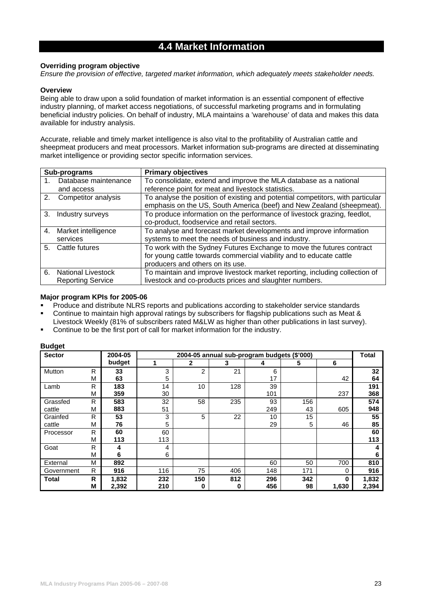# **4.4 Market Information**

# **Overriding program objective**

*Ensure the provision of effective, targeted market information, which adequately meets stakeholder needs.* 

# **Overview**

Being able to draw upon a solid foundation of market information is an essential component of effective industry planning, of market access negotiations, of successful marketing programs and in formulating beneficial industry policies. On behalf of industry, MLA maintains a 'warehouse' of data and makes this data available for industry analysis.

Accurate, reliable and timely market intelligence is also vital to the profitability of Australian cattle and sheepmeat producers and meat processors. Market information sub-programs are directed at disseminating market intelligence or providing sector specific information services.

|    | Sub-programs              | <b>Primary objectives</b>                                                      |
|----|---------------------------|--------------------------------------------------------------------------------|
|    | Database maintenance      | To consolidate, extend and improve the MLA database as a national              |
|    | and access                | reference point for meat and livestock statistics.                             |
| 2. | Competitor analysis       | To analyse the position of existing and potential competitors, with particular |
|    |                           | emphasis on the US, South America (beef) and New Zealand (sheepmeat).          |
| 3. | Industry surveys          | To produce information on the performance of livestock grazing, feedlot,       |
|    |                           | co-product, foodservice and retail sectors.                                    |
|    | 4. Market intelligence    | To analyse and forecast market developments and improve information            |
|    | services                  | systems to meet the needs of business and industry.                            |
|    | 5. Cattle futures         | To work with the Sydney Futures Exchange to move the futures contract          |
|    |                           | for young cattle towards commercial viability and to educate cattle            |
|    |                           | producers and others on its use.                                               |
| 6. | <b>National Livestock</b> | To maintain and improve livestock market reporting, including collection of    |
|    | <b>Reporting Service</b>  | livestock and co-products prices and slaughter numbers.                        |

#### **Major program KPIs for 2005-06**

- Produce and distribute NLRS reports and publications according to stakeholder service standards
- Continue to maintain high approval ratings by subscribers for flagship publications such as Meat &
- Livestock Weekly (81% of subscribers rated M&LW as higher than other publications in last survey).
- Continue to be the first port of call for market information for the industry.

| <b>Sector</b> |   | 2004-05 |     | 2004-05 annual sub-program budgets (\$'000) |     |     |     |       |       |
|---------------|---|---------|-----|---------------------------------------------|-----|-----|-----|-------|-------|
|               |   | budget  | -1  | $\mathbf{2}$                                | 3   | 4   | 5   | 6     |       |
| Mutton        | R | 33      | 3   | 2                                           | 21  | 6   |     |       | 32    |
|               | М | 63      | 5   |                                             |     | 17  |     | 42    | 64    |
| Lamb          | R | 183     | 14  | 10                                          | 128 | 39  |     |       | 191   |
|               | М | 359     | 30  |                                             |     | 101 |     | 237   | 368   |
| Grassfed      | R | 583     | 32  | 58                                          | 235 | 93  | 156 |       | 574   |
| cattle        | м | 883     | 51  |                                             |     | 249 | 43  | 605   | 948   |
| Grainfed      | R | 53      | 3   | 5                                           | 22  | 10  | 15  |       | 55    |
| cattle        | М | 76      | 5   |                                             |     | 29  | 5   | 46    | 85    |
| Processor     | R | 60      | 60  |                                             |     |     |     |       | 60    |
|               | M | 113     | 113 |                                             |     |     |     |       | 113   |
| Goat          | R | 4       | 4   |                                             |     |     |     |       |       |
|               | м | 6       | 6   |                                             |     |     |     |       | 6     |
| External      | M | 892     |     |                                             |     | 60  | 50  | 700   | 810   |
| Government    | R | 916     | 116 | 75                                          | 406 | 148 | 171 | 0     | 916   |
| <b>Total</b>  | R | 1,832   | 232 | 150                                         | 812 | 296 | 342 | 0     | 1,832 |
|               | М | 2,392   | 210 | 0                                           | 0   | 456 | 98  | 1,630 | 2,394 |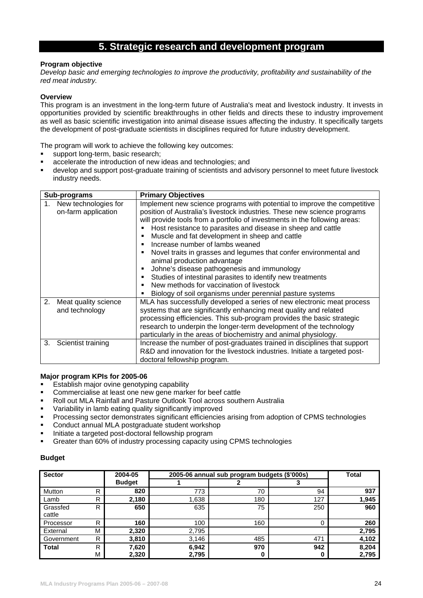# **5. Strategic research and development program**

### **Program objective**

*Develop basic and emerging technologies to improve the productivity, profitability and sustainability of the red meat industry.* 

### **Overview**

This program is an investment in the long-term future of Australia's meat and livestock industry. It invests in opportunities provided by scientific breakthroughs in other fields and directs these to industry improvement as well as basic scientific investigation into animal disease issues affecting the industry. It specifically targets the development of post-graduate scientists in disciplines required for future industry development.

The program will work to achieve the following key outcomes:

- support long-term, basic research;
- accelerate the introduction of new ideas and technologies; and
- develop and support post-graduate training of scientists and advisory personnel to meet future livestock industry needs.

| Sub-programs                                   | <b>Primary Objectives</b>                                                                                                                                                                                                                                                                                                                                                                                                                                                                                                                                                                                                                                                                                              |
|------------------------------------------------|------------------------------------------------------------------------------------------------------------------------------------------------------------------------------------------------------------------------------------------------------------------------------------------------------------------------------------------------------------------------------------------------------------------------------------------------------------------------------------------------------------------------------------------------------------------------------------------------------------------------------------------------------------------------------------------------------------------------|
| 1. New technologies for<br>on-farm application | Implement new science programs with potential to improve the competitive<br>position of Australia's livestock industries. These new science programs<br>will provide tools from a portfolio of investments in the following areas:<br>Host resistance to parasites and disease in sheep and cattle<br>Muscle and fat development in sheep and cattle<br>Increase number of lambs weaned<br>п<br>Novel traits in grasses and legumes that confer environmental and<br>animal production advantage<br>Johne's disease pathogenesis and immunology<br>Studies of intestinal parasites to identify new treatments<br>New methods for vaccination of livestock<br>Biology of soil organisms under perennial pasture systems |
| Meat quality science<br>2.<br>and technology   | MLA has successfully developed a series of new electronic meat process<br>systems that are significantly enhancing meat quality and related<br>processing efficiencies. This sub-program provides the basic strategic<br>research to underpin the longer-term development of the technology<br>particularly in the areas of biochemistry and animal physiology.                                                                                                                                                                                                                                                                                                                                                        |
| Scientist training<br>3.                       | Increase the number of post-graduates trained in disciplines that support<br>R&D and innovation for the livestock industries. Initiate a targeted post-<br>doctoral fellowship program.                                                                                                                                                                                                                                                                                                                                                                                                                                                                                                                                |

### **Major program KPIs for 2005-06**

- Establish major ovine genotyping capability
- Commercialise at least one new gene marker for beef cattle
- Roll out MLA Rainfall and Pasture Outlook Tool across southern Australia
- Variability in lamb eating quality significantly improved
- Processing sector demonstrates significant efficiencies arising from adoption of CPMS technologies
- Conduct annual MLA postgraduate student workshop
- Initiate a targeted post-doctoral fellowship program
- Greater than 60% of industry processing capacity using CPMS technologies

| <b>Sector</b><br>2004-05 |   |               | 2005-06 annual sub program budgets (\$'000s) | Total |     |       |
|--------------------------|---|---------------|----------------------------------------------|-------|-----|-------|
|                          |   | <b>Budget</b> |                                              |       |     |       |
| Mutton                   | R | 820           | 773                                          | 70    | 94  | 937   |
| Lamb                     | R | 2,180         | 1,638                                        | 180   | 127 | 1,945 |
| Grassfed                 | R | 650           | 635                                          | 75    | 250 | 960   |
| cattle                   |   |               |                                              |       |     |       |
| Processor                | R | 160           | 100                                          | 160   | 0   | 260   |
| External                 | м | 2,320         | 2,795                                        |       |     | 2,795 |
| Government               | R | 3,810         | 3,146                                        | 485   | 471 | 4,102 |
| <b>Total</b>             | R | 7,620         | 6,942                                        | 970   | 942 | 8,204 |
|                          | М | 2,320         | 2,795                                        |       | 0   | 2,795 |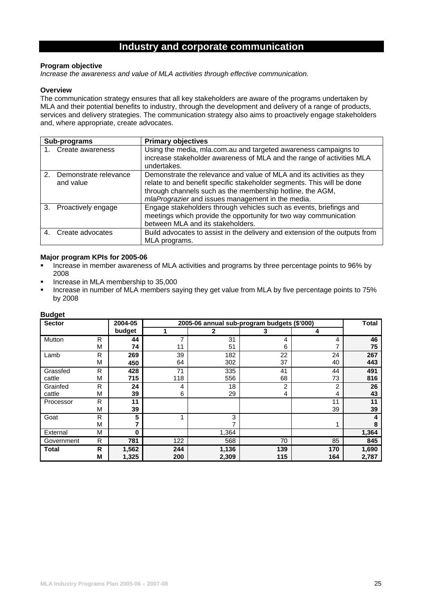# **Industry and corporate communication**

# **Program objective**

*Increase the awareness and value of MLA activities through effective communication.* 

### **Overview**

The communication strategy ensures that all key stakeholders are aware of the programs undertaken by MLA and their potential benefits to industry, through the development and delivery of a range of products, services and delivery strategies. The communication strategy also aims to proactively engage stakeholders and, where appropriate, create advocates.

|               | Sub-programs                       | <b>Primary objectives</b>                                                                                                                                                                                                                                         |
|---------------|------------------------------------|-------------------------------------------------------------------------------------------------------------------------------------------------------------------------------------------------------------------------------------------------------------------|
|               | Create awareness                   | Using the media, mla.com.au and targeted awareness campaigns to<br>increase stakeholder awareness of MLA and the range of activities MLA<br>undertakes.                                                                                                           |
| $\mathcal{P}$ | Demonstrate relevance<br>and value | Demonstrate the relevance and value of MLA and its activities as they<br>relate to and benefit specific stakeholder segments. This will be done<br>through channels such as the membership hotline, the AGM,<br>mlaPrograzier and issues management in the media. |
| 3.            | Proactively engage                 | Engage stakeholders through vehicles such as events, briefings and<br>meetings which provide the opportunity for two way communication<br>between MLA and its stakeholders.                                                                                       |
|               | Create advocates                   | Build advocates to assist in the delivery and extension of the outputs from<br>MLA programs.                                                                                                                                                                      |

### **Major program KPIs for 2005-06**

- Increase in member awareness of MLA activities and programs by three percentage points to 96% by 2008
- Increase in MLA membership to 35,000
- Increase in number of MLA members saying they get value from MLA by five percentage points to 75% by 2008

| -- 9 - -<br><b>Sector</b> |   | 2004-05 |     |       | 2005-06 annual sub-program budgets (\$'000) |     | <b>Total</b> |
|---------------------------|---|---------|-----|-------|---------------------------------------------|-----|--------------|
|                           |   | budget  |     | 2     | 3                                           | 4   |              |
| Mutton                    | R | 44      | ⇁   | 31    | 4                                           | 4   | 46           |
|                           | M | 74      | 11  | 51    | 6                                           |     | 75           |
| Lamb                      | R | 269     | 39  | 182   | 22                                          | 24  | 267          |
|                           | M | 450     | 64  | 302   | 37                                          | 40  | 443          |
| Grassfed                  | R | 428     | 71  | 335   | 41                                          | 44  | 491          |
| cattle                    | M | 715     | 118 | 556   | 68                                          | 73  | 816          |
| Grainfed                  | R | 24      | 4   | 18    | 2                                           | 2   | 26           |
| cattle                    | M | 39      | 6   | 29    | 4                                           | 4   | 43           |
| Processor                 | R | 11      |     |       |                                             | 11  | 11           |
|                           | M | 39      |     |       |                                             | 39  | 39           |
| Goat                      | R | 5       |     | 3     |                                             |     |              |
|                           | M |         |     |       |                                             |     |              |
| External                  | M | 0       |     | 1,364 |                                             |     | 1,364        |
| Government                | R | 781     | 122 | 568   | 70                                          | 85  | 845          |
| <b>Total</b>              | R | 1,562   | 244 | 1,136 | 139                                         | 170 | 1,690        |
|                           | M | 1,325   | 200 | 2,309 | 115                                         | 164 | 2,787        |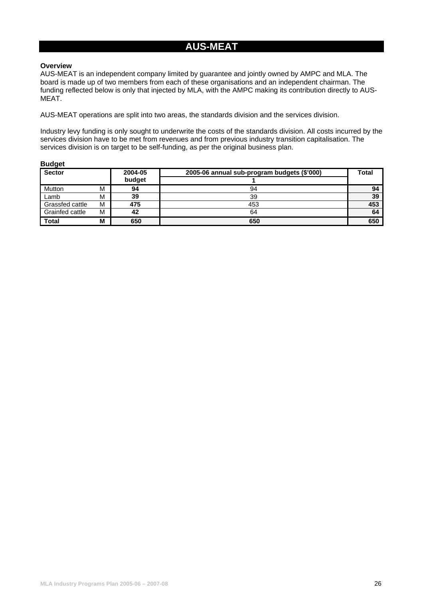# **AUS-MEAT**

#### **Overview**

AUS-MEAT is an independent company limited by guarantee and jointly owned by AMPC and MLA. The board is made up of two members from each of these organisations and an independent chairman. The funding reflected below is only that injected by MLA, with the AMPC making its contribution directly to AUS-MEAT.

AUS-MEAT operations are split into two areas, the standards division and the services division.

Industry levy funding is only sought to underwrite the costs of the standards division. All costs incurred by the services division have to be met from revenues and from previous industry transition capitalisation. The services division is on target to be self-funding, as per the original business plan.

| <b>Sector</b>   |   | 2004-05 | 2005-06 annual sub-program budgets (\$'000) | <b>Total</b> |
|-----------------|---|---------|---------------------------------------------|--------------|
|                 |   | budget  |                                             |              |
| Mutton          | M | 94      | 94                                          | 94           |
| Lamb            | M | 39      | 39                                          | 39           |
| Grassfed cattle | M | 475     | 453                                         | 453          |
| Grainfed cattle | M | 42      | 64                                          | 64           |
| <b>Total</b>    | M | 650     | 650                                         | 650          |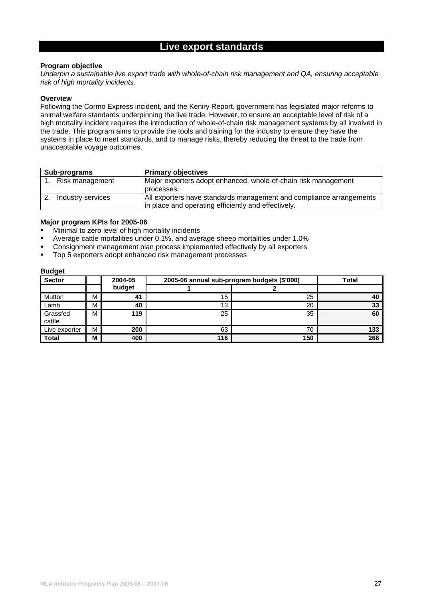# **Live export standards**

# **Program objective**

*Underpin a sustainable live export trade with whole-of-chain risk management and QA, ensuring acceptable risk of high mortality incidents.* 

### **Overview**

Following the Cormo Express incident, and the Keniry Report, government has legislated major reforms to animal welfare standards underpinning the live trade. However, to ensure an acceptable level of risk of a high mortality incident requires the introduction of whole-of-chain risk management systems by all involved in the trade. This program aims to provide the tools and training for the industry to ensure they have the systems in place to meet standards, and to manage risks, thereby reducing the threat to the trade from unacceptable voyage outcomes.

| Sub-programs |                   | <b>Primary objectives</b>                                           |
|--------------|-------------------|---------------------------------------------------------------------|
|              | Risk management   | Major exporters adopt enhanced, whole-of-chain risk management      |
|              |                   | processes.                                                          |
|              | Industry services | All exporters have standards management and compliance arrangements |
|              |                   | in place and operating efficiently and effectively.                 |

# **Major program KPIs for 2005-06**

- **Minimal to zero level of high mortality incidents**
- Average cattle mortalities under 0.1%, and average sheep mortalities under 1.0%
- Consignment management plan process implemented effectively by all exporters
- Top 5 exporters adopt enhanced risk management processes

| <b>Sector</b>      |   | 2004-05 | 2005-06 annual sub-program budgets (\$'000) | <b>Total</b> |     |
|--------------------|---|---------|---------------------------------------------|--------------|-----|
|                    |   | budget  |                                             |              |     |
| Mutton             | M | 41      | 15                                          | 25           | 40  |
| Lamb               | м | 40      | 13                                          | 20           | 33  |
| Grassfed<br>cattle | M | 119     | 25                                          | 35           | 60  |
| Live exporter      | M | 200     | 63                                          | 70           | 133 |
| <b>Total</b>       | M | 400     | 116                                         | 150          | 266 |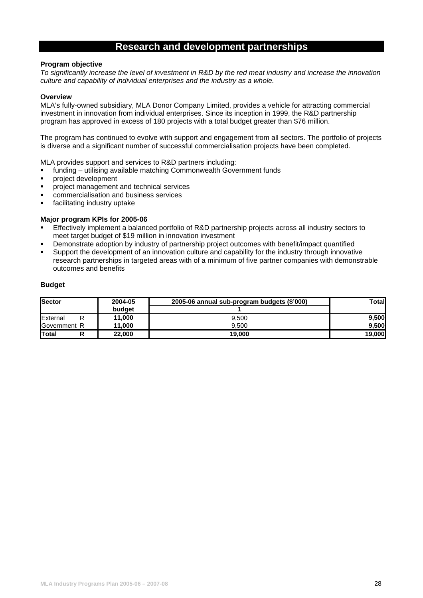# **Research and development partnerships**

### **Program objective**

*To significantly increase the level of investment in R&D by the red meat industry and increase the innovation culture and capability of individual enterprises and the industry as a whole.* 

### **Overview**

MLA's fully-owned subsidiary, MLA Donor Company Limited, provides a vehicle for attracting commercial investment in innovation from individual enterprises. Since its inception in 1999, the R&D partnership program has approved in excess of 180 projects with a total budget greater than \$76 million.

The program has continued to evolve with support and engagement from all sectors. The portfolio of projects is diverse and a significant number of successful commercialisation projects have been completed.

MLA provides support and services to R&D partners including:

- funding utilising available matching Commonwealth Government funds
- **project development**
- **PEDRICE THE SERVICES** Project management and technical services
- commercialisation and business services
- **facilitating industry uptake**

# **Major program KPIs for 2005-06**

- Effectively implement a balanced portfolio of R&D partnership projects across all industry sectors to meet target budget of \$19 million in innovation investment
- Demonstrate adoption by industry of partnership project outcomes with benefit/impact quantified
- Support the development of an innovation culture and capability for the industry through innovative research partnerships in targeted areas with of a minimum of five partner companies with demonstrable outcomes and benefits

| <b>Sector</b> | 2004-05 | 2005-06 annual sub-program budgets (\$'000) | Totall |
|---------------|---------|---------------------------------------------|--------|
|               | budget  |                                             |        |
| External      | 11.000  | 9.500                                       | 9.500  |
| Government R  | 11.000  | 9.500                                       | 9.500  |
| <b>Total</b>  | 22,000  | 19,000                                      | 19,000 |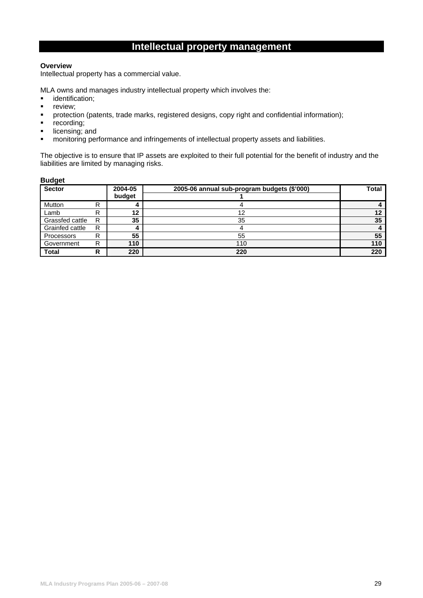# **Intellectual property management**

# **Overview**

Intellectual property has a commercial value.

MLA owns and manages industry intellectual property which involves the:

- **·** identification:
- **review;**
- protection (patents, trade marks, registered designs, copy right and confidential information);
- $\overline{\phantom{a}}$  recording;
- licensing; and
- **EXECT** monitoring performance and infringements of intellectual property assets and liabilities.

The objective is to ensure that IP assets are exploited to their full potential for the benefit of industry and the liabilities are limited by managing risks.

| <b>Sector</b>   |   | 2004-05<br>budget | 2005-06 annual sub-program budgets (\$'000) | <b>Total</b> |
|-----------------|---|-------------------|---------------------------------------------|--------------|
| Mutton          | R |                   |                                             |              |
| Lamb            | R | 12                | 12                                          | 12           |
| Grassfed cattle | R | 35                | 35                                          | 35           |
| Grainfed cattle | R |                   |                                             |              |
| Processors      | R | 55                | 55                                          | 55           |
| Government      | R | 110               | 110                                         | 110          |
| <b>Total</b>    | R | 220               | 220                                         | 220          |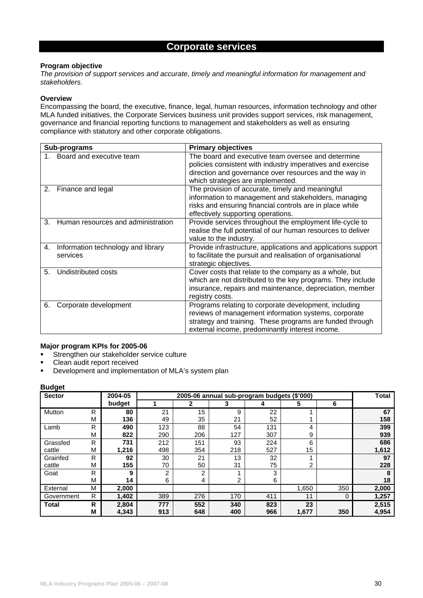# **Corporate services**

### **Program objective**

*The provision of support services and accurate, timely and meaningful information for management and stakeholders.* 

### **Overview**

Encompassing the board, the executive, finance, legal, human resources, information technology and other MLA funded initiatives, the Corporate Services business unit provides support services, risk management, governance and financial reporting functions to management and stakeholders as well as ensuring compliance with statutory and other corporate obligations.

|    | Sub-programs                                   | <b>Primary objectives</b>                                                                                                                                                                                                    |  |  |  |  |  |  |  |  |
|----|------------------------------------------------|------------------------------------------------------------------------------------------------------------------------------------------------------------------------------------------------------------------------------|--|--|--|--|--|--|--|--|
|    | Board and executive team                       | The board and executive team oversee and determine<br>policies consistent with industry imperatives and exercise<br>direction and governance over resources and the way in<br>which strategies are implemented.              |  |  |  |  |  |  |  |  |
| 2. | Finance and legal                              | The provision of accurate, timely and meaningful<br>information to management and stakeholders, managing<br>risks and ensuring financial controls are in place while<br>effectively supporting operations.                   |  |  |  |  |  |  |  |  |
| 3. | Human resources and administration             | Provide services throughout the employment life-cycle to<br>realise the full potential of our human resources to deliver<br>value to the industry.                                                                           |  |  |  |  |  |  |  |  |
| 4. | Information technology and library<br>services | Provide infrastructure, applications and applications support<br>to facilitate the pursuit and realisation of organisational<br>strategic objectives.                                                                        |  |  |  |  |  |  |  |  |
| 5. | Undistributed costs                            | Cover costs that relate to the company as a whole, but<br>which are not distributed to the key programs. They include<br>insurance, repairs and maintenance, depreciation, member<br>registry costs.                         |  |  |  |  |  |  |  |  |
| 6. | Corporate development                          | Programs relating to corporate development, including<br>reviews of management information systems, corporate<br>strategy and training. These programs are funded through<br>external income, predominantly interest income. |  |  |  |  |  |  |  |  |

# **Major program KPIs for 2005-06**

- Strengthen our stakeholder service culture
- Clean audit report received
- **•** Development and implementation of MLA's system plan

| - ت<br><b>Sector</b> |   | 2004-05 | 2005-06 annual sub-program budgets (\$'000) |     |     |     |                 |     |       |  |  |  |  |  |
|----------------------|---|---------|---------------------------------------------|-----|-----|-----|-----------------|-----|-------|--|--|--|--|--|
|                      |   | budget  |                                             | 2   | 3   |     | 5               | 6   |       |  |  |  |  |  |
| Mutton               | R | 80      | 21                                          | 15  | 9   | 22  |                 |     | 67    |  |  |  |  |  |
|                      | M | 136     | 49                                          | 35  | 21  | 52  |                 |     | 158   |  |  |  |  |  |
| Lamb                 | R | 490     | 123                                         | 88  | 54  | 131 | 4               |     | 399   |  |  |  |  |  |
|                      | M | 822     | 290                                         | 206 | 127 | 307 | 9               |     | 939   |  |  |  |  |  |
| Grassfed             | R | 731     | 212                                         | 151 | 93  | 224 | 6               |     | 686   |  |  |  |  |  |
| cattle               | M | 1,216   | 498                                         | 354 | 218 | 527 | 15 <sub>1</sub> |     | 1,612 |  |  |  |  |  |
| Grainfed             | R | 92      | 30                                          | 21  | 13  | 32  |                 |     | 97    |  |  |  |  |  |
| cattle               | M | 155     | 70                                          | 50  | 31  | 75  | 2               |     | 228   |  |  |  |  |  |
| Goat                 | R | 9       | 2                                           | 2   |     | 3   |                 |     | 8     |  |  |  |  |  |
|                      | M | 14      | 6                                           | 4   | 2   | 6   |                 |     | 18    |  |  |  |  |  |
| External             | M | 2,000   |                                             |     |     |     | 1,650           | 350 | 2,000 |  |  |  |  |  |
| Government           | R | 1,402   | 389                                         | 276 | 170 | 411 | 11              | 0   | 1,257 |  |  |  |  |  |
| <b>Total</b>         | R | 2,804   | 777                                         | 552 | 340 | 823 | 23              |     | 2,515 |  |  |  |  |  |
|                      | M | 4,343   | 913                                         | 648 | 400 | 966 | 1,677           | 350 | 4,954 |  |  |  |  |  |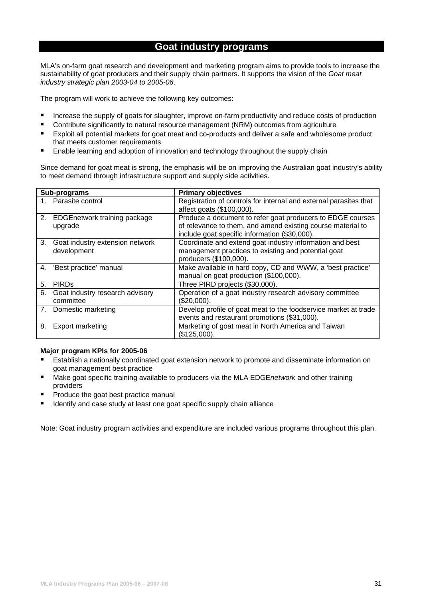# **Goat industry programs**

MLA's on-farm goat research and development and marketing program aims to provide tools to increase the sustainability of goat producers and their supply chain partners. It supports the vision of the *Goat meat industry strategic plan 2003-04 to 2005-06*.

The program will work to achieve the following key outcomes:

- **Increase the supply of goats for slaughter, improve on-farm productivity and reduce costs of production**
- Contribute significantly to natural resource management (NRM) outcomes from agriculture
- Exploit all potential markets for goat meat and co-products and deliver a safe and wholesome product that meets customer requirements
- **Enable learning and adoption of innovation and technology throughout the supply chain**

Since demand for goat meat is strong, the emphasis will be on improving the Australian goat industry's ability to meet demand through infrastructure support and supply side activities.

|    | Sub-programs                                      | <b>Primary objectives</b>                                                                                                                                                  |  |  |  |  |  |  |  |
|----|---------------------------------------------------|----------------------------------------------------------------------------------------------------------------------------------------------------------------------------|--|--|--|--|--|--|--|
|    | 1. Parasite control                               | Registration of controls for internal and external parasites that<br>affect goats (\$100,000).                                                                             |  |  |  |  |  |  |  |
| 2. | <b>EDGEnetwork training package</b><br>upgrade    | Produce a document to refer goat producers to EDGE courses<br>of relevance to them, and amend existing course material to<br>include goat specific information (\$30,000). |  |  |  |  |  |  |  |
|    | 3. Goat industry extension network<br>development | Coordinate and extend goat industry information and best<br>management practices to existing and potential goat<br>producers (\$100,000).                                  |  |  |  |  |  |  |  |
| 4. | 'Best practice' manual                            | Make available in hard copy, CD and WWW, a 'best practice'<br>manual on goat production (\$100,000).                                                                       |  |  |  |  |  |  |  |
| 5. | <b>PIRDs</b>                                      | Three PIRD projects (\$30,000).                                                                                                                                            |  |  |  |  |  |  |  |
| 6. | Goat industry research advisory<br>committee      | Operation of a goat industry research advisory committee<br>$(\$20,000).$                                                                                                  |  |  |  |  |  |  |  |
|    | 7. Domestic marketing                             | Develop profile of goat meat to the foodservice market at trade<br>events and restaurant promotions (\$31,000).                                                            |  |  |  |  |  |  |  |
| 8. | <b>Export marketing</b>                           | Marketing of goat meat in North America and Taiwan<br>(\$125,000).                                                                                                         |  |  |  |  |  |  |  |

### **Major program KPIs for 2005-06**

- **Establish a nationally coordinated goat extension network to promote and disseminate information on** goat management best practice
- Make goat specific training available to producers via the MLA EDGE*network* and other training providers
- Produce the goat best practice manual
- Identify and case study at least one goat specific supply chain alliance

Note: Goat industry program activities and expenditure are included various programs throughout this plan.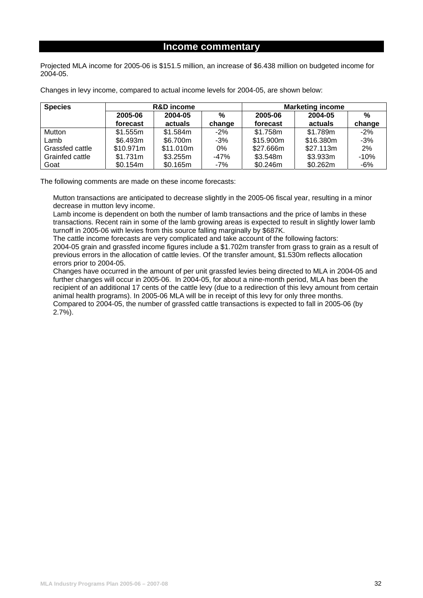# **Income commentary**

Projected MLA income for 2005-06 is \$151.5 million, an increase of \$6.438 million on budgeted income for 2004-05.

Changes in levy income, compared to actual income levels for 2004-05, are shown below:

| <b>Species</b>  |           | <b>R&amp;D</b> income |        | <b>Marketing income</b> |           |               |  |  |  |  |  |
|-----------------|-----------|-----------------------|--------|-------------------------|-----------|---------------|--|--|--|--|--|
|                 | 2005-06   | 2004-05               | %      | 2005-06                 | 2004-05   | $\frac{0}{2}$ |  |  |  |  |  |
|                 | forecast  | actuals               | change | forecast                | actuals   | change        |  |  |  |  |  |
| Mutton          | \$1.555m  | \$1.584m              | $-2\%$ | \$1.758m                | \$1.789m  | $-2%$         |  |  |  |  |  |
| Lamb            | \$6.493m  | \$6.700m              | $-3%$  | \$15.900m               | \$16.380m | $-3%$         |  |  |  |  |  |
| Grassfed cattle | \$10.971m | \$11.010m             | $0\%$  | \$27.666m               | \$27.113m | 2%            |  |  |  |  |  |
| Grainfed cattle | \$1.731m  | \$3.255m              | $-47%$ | \$3.548m                | \$3.933m  | $-10%$        |  |  |  |  |  |
| Goat            | \$0.154m  | \$0.165m              | $-7%$  | \$0.246m                | \$0.262m  | $-6%$         |  |  |  |  |  |

The following comments are made on these income forecasts:

Mutton transactions are anticipated to decrease slightly in the 2005-06 fiscal year, resulting in a minor decrease in mutton levy income.

Lamb income is dependent on both the number of lamb transactions and the price of lambs in these transactions. Recent rain in some of the lamb growing areas is expected to result in slightly lower lamb turnoff in 2005-06 with levies from this source falling marginally by \$687K.

The cattle income forecasts are very complicated and take account of the following factors: 2004-05 grain and grassfed income figures include a \$1.702m transfer from grass to grain as a result of previous errors in the allocation of cattle levies. Of the transfer amount, \$1.530m reflects allocation errors prior to 2004-05.

Changes have occurred in the amount of per unit grassfed levies being directed to MLA in 2004-05 and further changes will occur in 2005-06. In 2004-05, for about a nine-month period, MLA has been the recipient of an additional 17 cents of the cattle levy (due to a redirection of this levy amount from certain animal health programs). In 2005-06 MLA will be in receipt of this levy for only three months. Compared to 2004-05, the number of grassfed cattle transactions is expected to fall in 2005-06 (by 2.7%).